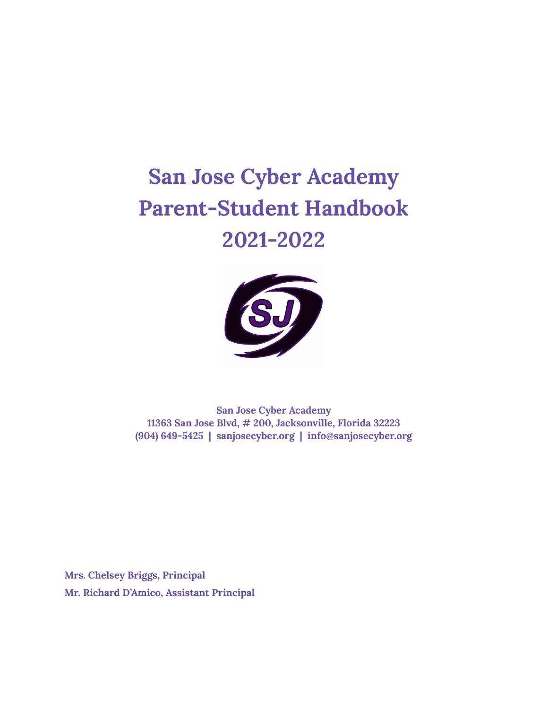# **San Jose Cyber Academy Parent-Student Handbook 2021-2022**



**San Jose Cyber Academy 11363 San Jose Blvd, # 200, Jacksonville, Florida 32223 (904) 649-5425 | sanjosecyber.org | info@sanjosecyber.org**

**Mrs. Chelsey Briggs, Principal Mr. Richard D'Amico, Assistant Principal**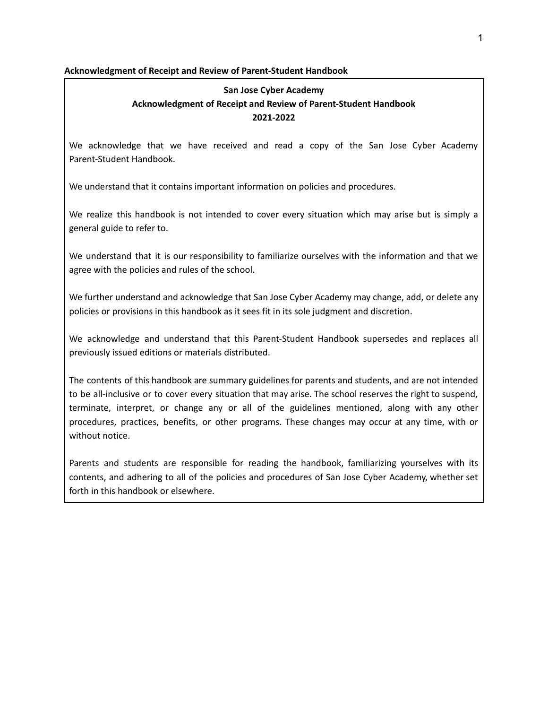## **Acknowledgment of Receipt and Review of Parent-Student Handbook**

# **San Jose Cyber Academy Acknowledgment of Receipt and Review of Parent-Student Handbook 2021-2022**

We acknowledge that we have received and read a copy of the San Jose Cyber Academy Parent-Student Handbook.

We understand that it contains important information on policies and procedures.

We realize this handbook is not intended to cover every situation which may arise but is simply a general guide to refer to.

We understand that it is our responsibility to familiarize ourselves with the information and that we agree with the policies and rules of the school.

We further understand and acknowledge that San Jose Cyber Academy may change, add, or delete any policies or provisions in this handbook as it sees fit in its sole judgment and discretion.

We acknowledge and understand that this Parent-Student Handbook supersedes and replaces all previously issued editions or materials distributed.

The contents of this handbook are summary guidelines for parents and students, and are not intended to be all-inclusive or to cover every situation that may arise. The school reserves the right to suspend, terminate, interpret, or change any or all of the guidelines mentioned, along with any other procedures, practices, benefits, or other programs. These changes may occur at any time, with or without notice.

Parents and students are responsible for reading the handbook, familiarizing yourselves with its contents, and adhering to all of the policies and procedures of San Jose Cyber Academy, whether set forth in this handbook or elsewhere.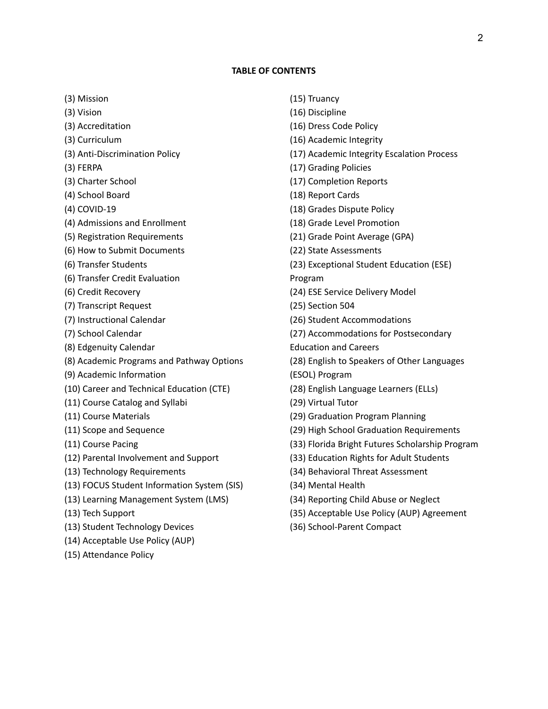## **TABLE OF CONTENTS**

(3) Mission

- (3) Vision
- (3) Accreditation
- (3) Curriculum
- (3) Anti-Discrimination Policy
- (3) FERPA
- (3) Charter School
- (4) School Board
- (4) COVID-19
- (4) Admissions and Enrollment
- (5) Registration Requirements
- (6) How to Submit Documents
- (6) Transfer Students
- (6) Transfer Credit Evaluation
- (6) Credit Recovery
- (7) Transcript Request
- (7) Instructional Calendar
- (7) School Calendar
- (8) Edgenuity Calendar
- (8) Academic Programs and Pathway Options
- (9) Academic Information
- (10) Career and Technical Education (CTE)
- (11) Course Catalog and Syllabi
- (11) Course Materials
- (11) Scope and Sequence
- (11) Course Pacing
- (12) Parental Involvement and Support
- (13) Technology Requirements
- (13) FOCUS Student Information System (SIS)
- (13) Learning Management System (LMS)
- (13) Tech Support
- (13) Student Technology Devices
- (14) Acceptable Use Policy (AUP)
- (15) Attendance Policy
- (15) Truancy
- (16) Discipline
- (16) Dress Code Policy
- (16) Academic Integrity
- (17) Academic Integrity Escalation Process
- (17) Grading Policies
- (17) Completion Reports
- (18) Report Cards
- (18) Grades Dispute Policy
- (18) Grade Level Promotion
- (21) Grade Point Average (GPA)
- (22) State Assessments
- (23) Exceptional Student Education (ESE)
- Program
- (24) ESE Service Delivery Model
- (25) Section 504
- (26) Student Accommodations
- (27) Accommodations for Postsecondary
- Education and Careers
- (28) English to Speakers of Other Languages (ESOL) Program
- (28) English Language Learners (ELLs)
- (29) Virtual Tutor
- (29) Graduation Program Planning
- (29) High School Graduation Requirements
- (33) Florida Bright Futures Scholarship Program
- (33) Education Rights for Adult Students
- (34) Behavioral Threat Assessment
- (34) Mental Health
- (34) Reporting Child Abuse or Neglect
- (35) Acceptable Use Policy (AUP) Agreement
- (36) School-Parent Compact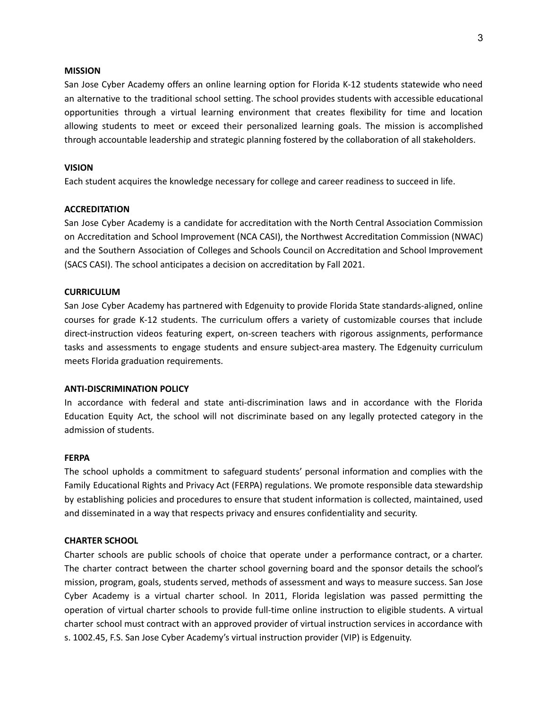#### **MISSION**

San Jose Cyber Academy offers an online learning option for Florida K-12 students statewide who need an alternative to the traditional school setting. The school provides students with accessible educational opportunities through a virtual learning environment that creates flexibility for time and location allowing students to meet or exceed their personalized learning goals. The mission is accomplished through accountable leadership and strategic planning fostered by the collaboration of all stakeholders.

## **VISION**

Each student acquires the knowledge necessary for college and career readiness to succeed in life.

#### **ACCREDITATION**

San Jose Cyber Academy is a candidate for accreditation with the North Central Association Commission on Accreditation and School Improvement (NCA CASI), the Northwest Accreditation Commission (NWAC) and the Southern Association of Colleges and Schools Council on Accreditation and School Improvement (SACS CASI). The school anticipates a decision on accreditation by Fall 2021.

#### **CURRICULUM**

San Jose Cyber Academy has partnered with Edgenuity to provide Florida State standards-aligned, online courses for grade K-12 students. The curriculum offers a variety of customizable courses that include direct-instruction videos featuring expert, on-screen teachers with rigorous assignments, performance tasks and assessments to engage students and ensure subject-area mastery. The Edgenuity curriculum meets Florida graduation requirements.

## **ANTI-DISCRIMINATION POLICY**

In accordance with federal and state anti-discrimination laws and in accordance with the Florida Education Equity Act, the school will not discriminate based on any legally protected category in the admission of students.

#### **FERPA**

The school upholds a commitment to safeguard students' personal information and complies with the Family Educational Rights and Privacy Act (FERPA) regulations. We promote responsible data stewardship by establishing policies and procedures to ensure that student information is collected, maintained, used and disseminated in a way that respects privacy and ensures confidentiality and security.

#### **CHARTER SCHOOL**

Charter schools are public schools of choice that operate under a performance contract, or a charter. The charter contract between the charter school governing board and the sponsor details the school's mission, program, goals, students served, methods of assessment and ways to measure success. San Jose Cyber Academy is a virtual charter school. In 2011, Florida legislation was passed permitting the operation of virtual charter schools to provide full-time online instruction to eligible students. A virtual charter school must contract with an approved provider of virtual instruction services in accordance with s. 1002.45, F.S. San Jose Cyber Academy's virtual instruction provider (VIP) is Edgenuity.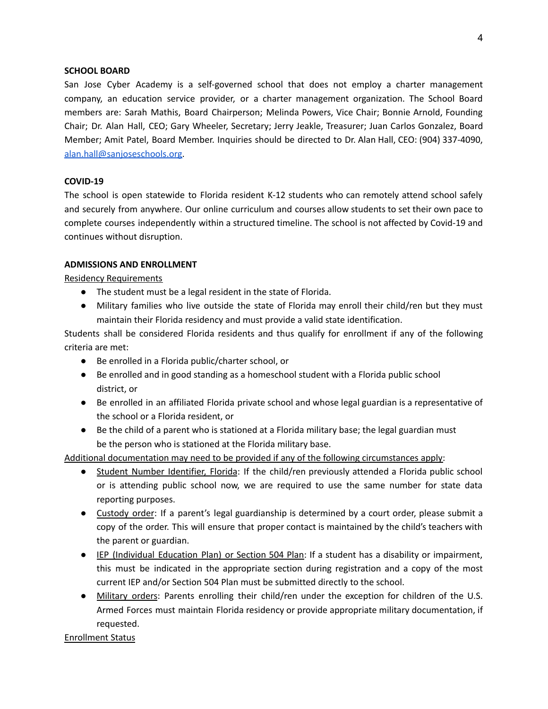#### **SCHOOL BOARD**

San Jose Cyber Academy is a self-governed school that does not employ a charter management company, an education service provider, or a charter management organization. The School Board members are: Sarah Mathis, Board Chairperson; Melinda Powers, Vice Chair; Bonnie Arnold, Founding Chair; Dr. Alan Hall, CEO; Gary Wheeler, Secretary; Jerry Jeakle, Treasurer; Juan Carlos Gonzalez, Board Member; Amit Patel, Board Member. Inquiries should be directed to Dr. Alan Hall, CEO: (904) 337-4090, [alan.hall@sanjoseschools.org.](mailto:alan.hall@sanjoseschools.org)

## **COVID-19**

The school is open statewide to Florida resident K-12 students who can remotely attend school safely and securely from anywhere. Our online curriculum and courses allow students to set their own pace to complete courses independently within a structured timeline. The school is not affected by Covid-19 and continues without disruption.

#### **ADMISSIONS AND ENROLLMENT**

Residency Requirements

- The student must be a legal resident in the state of Florida.
- Military families who live outside the state of Florida may enroll their child/ren but they must maintain their Florida residency and must provide a valid state identification.

Students shall be considered Florida residents and thus qualify for enrollment if any of the following criteria are met:

- Be enrolled in a Florida public/charter school, or
- Be enrolled and in good standing as a homeschool student with a Florida public school district, or
- Be enrolled in an affiliated Florida private school and whose legal guardian is a representative of the school or a Florida resident, or
- Be the child of a parent who is stationed at a Florida military base; the legal guardian must be the person who is stationed at the Florida military base.

Additional documentation may need to be provided if any of the following circumstances apply:

- Student Number Identifier, Florida: If the child/ren previously attended a Florida public school or is attending public school now, we are required to use the same number for state data reporting purposes.
- Custody order: If a parent's legal guardianship is determined by a court order, please submit a copy of the order. This will ensure that proper contact is maintained by the child's teachers with the parent or guardian.
- IEP (Individual Education Plan) or Section 504 Plan: If a student has a disability or impairment, this must be indicated in the appropriate section during registration and a copy of the most current IEP and/or Section 504 Plan must be submitted directly to the school.
- Military orders: Parents enrolling their child/ren under the exception for children of the U.S. Armed Forces must maintain Florida residency or provide appropriate military documentation, if requested.

Enrollment Status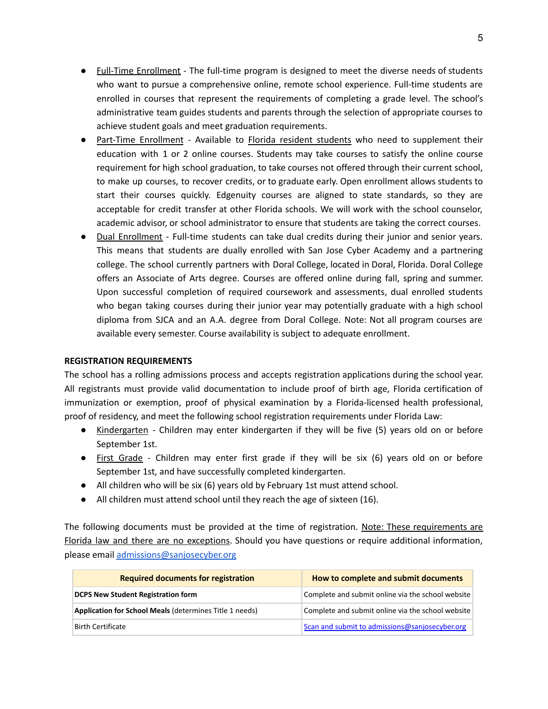- Full-Time Enrollment The full-time program is designed to meet the diverse needs of students who want to pursue a comprehensive online, remote school experience. Full-time students are enrolled in courses that represent the requirements of completing a grade level. The school's administrative team guides students and parents through the selection of appropriate courses to achieve student goals and meet graduation requirements.
- Part-Time Enrollment Available to Florida resident students who need to supplement their education with 1 or 2 online courses. Students may take courses to satisfy the online course requirement for high school graduation, to take courses not offered through their current school, to make up courses, to recover credits, or to graduate early. Open enrollment allows students to start their courses quickly. Edgenuity courses are aligned to state standards, so they are acceptable for credit transfer at other Florida schools. We will work with the school counselor, academic advisor, or school administrator to ensure that students are taking the correct courses.
- Dual Enrollment Full-time students can take dual credits during their junior and senior years. This means that students are dually enrolled with San Jose Cyber Academy and a partnering college. The school currently partners with Doral College, located in Doral, Florida. Doral College offers an Associate of Arts degree. Courses are offered online during fall, spring and summer. Upon successful completion of required coursework and assessments, dual enrolled students who began taking courses during their junior year may potentially graduate with a high school diploma from SJCA and an A.A. degree from Doral College. Note: Not all program courses are available every semester. Course availability is subject to adequate enrollment.

## **REGISTRATION REQUIREMENTS**

The school has a rolling admissions process and accepts registration applications during the school year. All registrants must provide valid documentation to include proof of birth age, Florida certification of immunization or exemption, proof of physical examination by a Florida-licensed health professional, proof of residency, and meet the following school registration requirements under Florida Law:

- Kindergarten Children may enter kindergarten if they will be five (5) years old on or before September 1st.
- First Grade Children may enter first grade if they will be six (6) years old on or before September 1st, and have successfully completed kindergarten.
- All children who will be six (6) years old by February 1st must attend school.
- All children must attend school until they reach the age of sixteen (16).

The following documents must be provided at the time of registration. Note: These requirements are Florida law and there are no exceptions. Should you have questions or require additional information, please email [admissions@sanjosecyber.org](mailto:admissions@sanjosecyber.org)

| <b>Required documents for registration</b>                     | How to complete and submit documents              |
|----------------------------------------------------------------|---------------------------------------------------|
| <b>DCPS New Student Registration form</b>                      | Complete and submit online via the school website |
| <b>Application for School Meals (determines Title 1 needs)</b> | Complete and submit online via the school website |
| <b>Birth Certificate</b>                                       | Scan and submit to admissions@sanjosecyber.org    |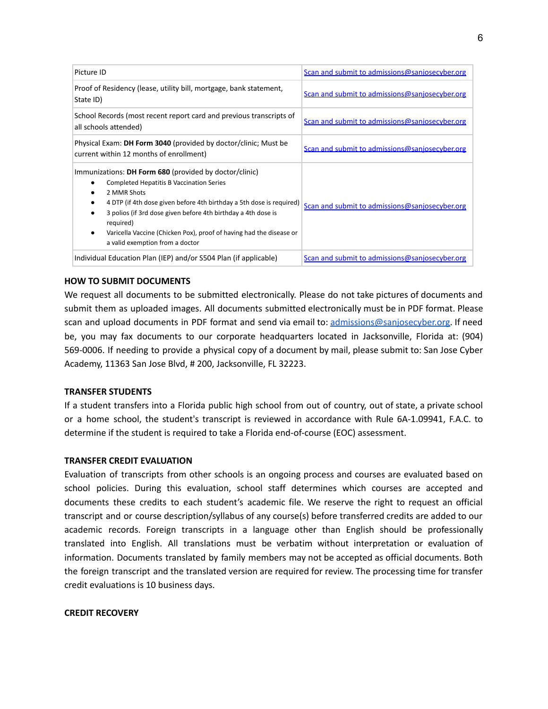| Picture ID                                                                                                                                                                                                                                                                                                                                                                               | Scan and submit to admissions@sanjosecyber.org |
|------------------------------------------------------------------------------------------------------------------------------------------------------------------------------------------------------------------------------------------------------------------------------------------------------------------------------------------------------------------------------------------|------------------------------------------------|
| Proof of Residency (lease, utility bill, mortgage, bank statement,<br>State ID)                                                                                                                                                                                                                                                                                                          | Scan and submit to admissions@saniosecyber.org |
| School Records (most recent report card and previous transcripts of<br>all schools attended)                                                                                                                                                                                                                                                                                             | Scan and submit to admissions@sanjosecyber.org |
| Physical Exam: DH Form 3040 (provided by doctor/clinic; Must be<br>current within 12 months of enrollment)                                                                                                                                                                                                                                                                               | Scan and submit to admissions@sanjosecyber.org |
| Immunizations: DH Form 680 (provided by doctor/clinic)<br><b>Completed Hepatitis B Vaccination Series</b><br>2 MMR Shots<br>4 DTP (if 4th dose given before 4th birthday a 5th dose is required)<br>3 polios (if 3rd dose given before 4th birthday a 4th dose is<br>required)<br>Varicella Vaccine (Chicken Pox), proof of having had the disease or<br>a valid exemption from a doctor | Scan and submit to admissions@sanjosecyber.org |
| Individual Education Plan (IEP) and/or S504 Plan (if applicable)                                                                                                                                                                                                                                                                                                                         | Scan and submit to admissions@sanjosecyber.org |

## **HOW TO SUBMIT DOCUMENTS**

We request all documents to be submitted electronically. Please do not take pictures of documents and submit them as uploaded images. All documents submitted electronically must be in PDF format. Please scan and upload documents in PDF format and send via email to: [admissions@sanjosecyber.org.](mailto:admissions@sanjosecyber.org) If need be, you may fax documents to our corporate headquarters located in Jacksonville, Florida at: (904) 569-0006. If needing to provide a physical copy of a document by mail, please submit to: San Jose Cyber Academy, 11363 San Jose Blvd, # 200, Jacksonville, FL 32223.

## **TRANSFER STUDENTS**

If a student transfers into a Florida public high school from out of country, out of state, a private school or a home school, the student's transcript is reviewed in accordance with Rule 6A-1.09941, F.A.C. to determine if the student is required to take a Florida end-of-course (EOC) assessment.

## **TRANSFER CREDIT EVALUATION**

Evaluation of transcripts from other schools is an ongoing process and courses are evaluated based on school policies. During this evaluation, school staff determines which courses are accepted and documents these credits to each student's academic file. We reserve the right to request an official transcript and or course description/syllabus of any course(s) before transferred credits are added to our academic records. Foreign transcripts in a language other than English should be professionally translated into English. All translations must be verbatim without interpretation or evaluation of information. Documents translated by family members may not be accepted as official documents. Both the foreign transcript and the translated version are required for review. The processing time for transfer credit evaluations is 10 business days.

## **CREDIT RECOVERY**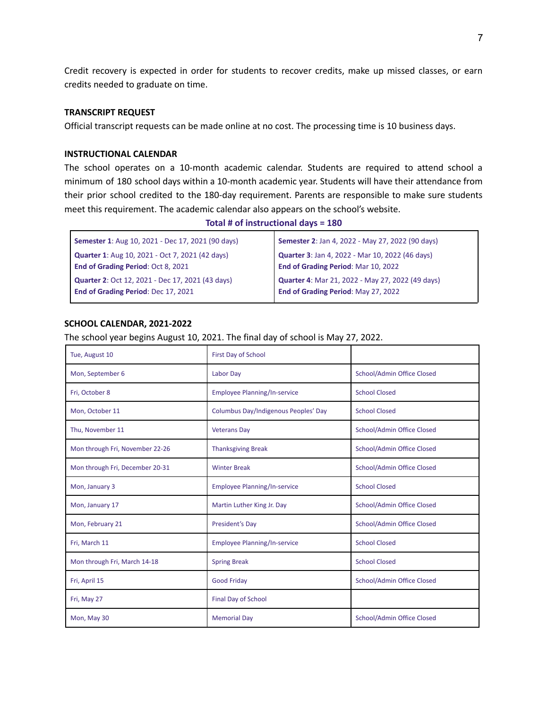Credit recovery is expected in order for students to recover credits, make up missed classes, or earn credits needed to graduate on time.

#### **TRANSCRIPT REQUEST**

Official transcript requests can be made online at no cost. The processing time is 10 business days.

## **INSTRUCTIONAL CALENDAR**

The school operates on a 10-month academic calendar. Students are required to attend school a minimum of 180 school days within a 10-month academic year. Students will have their attendance from their prior school credited to the 180-day requirement. Parents are responsible to make sure students meet this requirement. The academic calendar also appears on the school's website.

**Total # of instructional days = 180**

| <b>Semester 1:</b> Aug 10, 2021 - Dec 17, 2021 (90 days) | Semester 2: Jan 4, 2022 - May 27, 2022 (90 days)        |
|----------------------------------------------------------|---------------------------------------------------------|
| <b>Quarter 1:</b> Aug 10, 2021 - Oct 7, 2021 (42 days)   | <b>Quarter 3: Jan 4, 2022 - Mar 10, 2022 (46 days)</b>  |
| End of Grading Period: Oct 8, 2021                       | End of Grading Period: Mar 10, 2022                     |
| Quarter 2: Oct 12, 2021 - Dec 17, 2021 (43 days)         | <b>Quarter 4: Mar 21, 2022 - May 27, 2022 (49 days)</b> |
| End of Grading Period: Dec 17, 2021                      | End of Grading Period: May 27, 2022                     |

## **SCHOOL CALENDAR, 2021-2022**

The school year begins August 10, 2021. The final day of school is May 27, 2022.

| Tue, August 10                  | First Day of School                  |                            |
|---------------------------------|--------------------------------------|----------------------------|
| Mon, September 6                | Labor Day                            | School/Admin Office Closed |
| Fri, October 8                  | <b>Employee Planning/In-service</b>  | <b>School Closed</b>       |
| Mon, October 11                 | Columbus Day/Indigenous Peoples' Day | <b>School Closed</b>       |
| Thu, November 11                | <b>Veterans Day</b>                  | School/Admin Office Closed |
| Mon through Fri, November 22-26 | <b>Thanksgiving Break</b>            | School/Admin Office Closed |
| Mon through Fri, December 20-31 | <b>Winter Break</b>                  | School/Admin Office Closed |
| Mon, January 3                  | <b>Employee Planning/In-service</b>  | <b>School Closed</b>       |
| Mon, January 17                 | Martin Luther King Jr. Day           | School/Admin Office Closed |
| Mon, February 21                | President's Day                      | School/Admin Office Closed |
| Fri, March 11                   | Employee Planning/In-service         | <b>School Closed</b>       |
| Mon through Fri, March 14-18    | <b>Spring Break</b>                  | <b>School Closed</b>       |
| Fri, April 15                   | <b>Good Friday</b>                   | School/Admin Office Closed |
| Fri, May 27                     | Final Day of School                  |                            |
| Mon, May 30                     | <b>Memorial Day</b>                  | School/Admin Office Closed |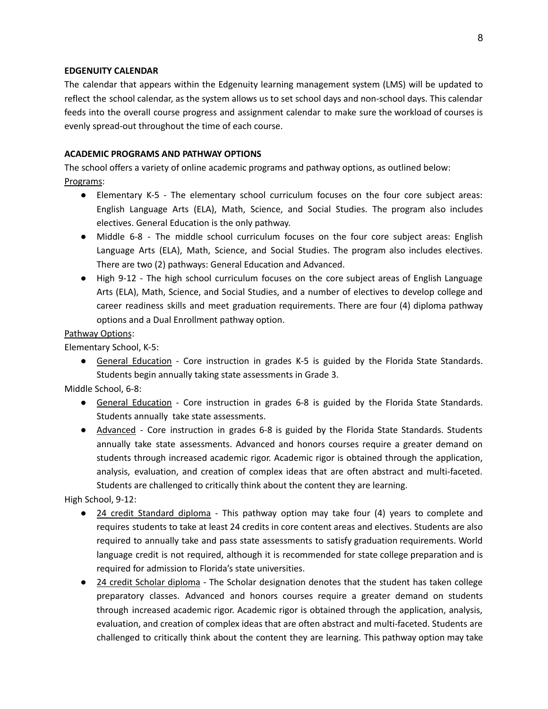## **EDGENUITY CALENDAR**

The calendar that appears within the Edgenuity learning management system (LMS) will be updated to reflect the school calendar, as the system allows us to set school days and non-school days. This calendar feeds into the overall course progress and assignment calendar to make sure the workload of courses is evenly spread-out throughout the time of each course.

## **ACADEMIC PROGRAMS AND PATHWAY OPTIONS**

The school offers a variety of online academic programs and pathway options, as outlined below: Programs:

- Elementary K-5 The elementary school curriculum focuses on the four core subject areas: English Language Arts (ELA), Math, Science, and Social Studies. The program also includes electives. General Education is the only pathway.
- Middle 6-8 The middle school curriculum focuses on the four core subject areas: English Language Arts (ELA), Math, Science, and Social Studies. The program also includes electives. There are two (2) pathways: General Education and Advanced.
- High 9-12 The high school curriculum focuses on the core subject areas of English Language Arts (ELA), Math, Science, and Social Studies, and a number of electives to develop college and career readiness skills and meet graduation requirements. There are four (4) diploma pathway options and a Dual Enrollment pathway option.

## Pathway Options:

Elementary School, K-5:

● General Education - Core instruction in grades K-5 is guided by the Florida State Standards. Students begin annually taking state assessments in Grade 3.

Middle School, 6-8:

- General Education Core instruction in grades 6-8 is guided by the Florida State Standards. Students annually take state assessments.
- Advanced Core instruction in grades 6-8 is guided by the Florida State Standards. Students annually take state assessments. Advanced and honors courses require a greater demand on students through increased academic rigor. Academic rigor is obtained through the application, analysis, evaluation, and creation of complex ideas that are often abstract and multi-faceted. Students are challenged to critically think about the content they are learning.

High School, 9-12:

- 24 credit Standard diploma This pathway option may take four (4) years to complete and requires students to take at least 24 credits in core content areas and electives. Students are also required to annually take and pass state assessments to satisfy graduation requirements. World language credit is not required, although it is recommended for state college preparation and is required for admission to Florida's state universities.
- 24 credit Scholar diploma The Scholar designation denotes that the student has taken college preparatory classes. Advanced and honors courses require a greater demand on students through increased academic rigor. Academic rigor is obtained through the application, analysis, evaluation, and creation of complex ideas that are often abstract and multi-faceted. Students are challenged to critically think about the content they are learning. This pathway option may take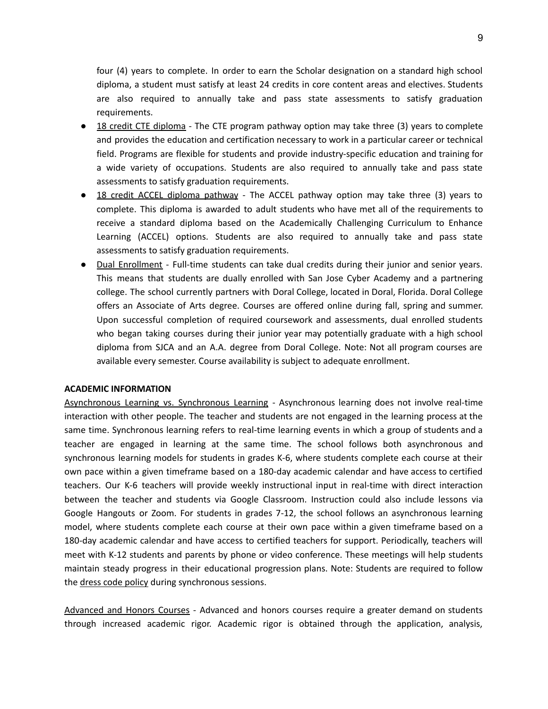four (4) years to complete. In order to earn the Scholar designation on a standard high school diploma, a student must satisfy at least 24 credits in core content areas and electives. Students are also required to annually take and pass state assessments to satisfy graduation requirements.

- 18 credit CTE diploma The CTE program pathway option may take three (3) years to complete and provides the education and certification necessary to work in a particular career or technical field. Programs are flexible for students and provide industry-specific education and training for a wide variety of occupations. Students are also required to annually take and pass state assessments to satisfy graduation requirements.
- 18 credit ACCEL diploma pathway The ACCEL pathway option may take three (3) years to complete. This diploma is awarded to adult students who have met all of the requirements to receive a standard diploma based on the Academically Challenging Curriculum to Enhance Learning (ACCEL) options. Students are also required to annually take and pass state assessments to satisfy graduation requirements.
- Dual Enrollment Full-time students can take dual credits during their junior and senior years. This means that students are dually enrolled with San Jose Cyber Academy and a partnering college. The school currently partners with Doral College, located in Doral, Florida. Doral College offers an Associate of Arts degree. Courses are offered online during fall, spring and summer. Upon successful completion of required coursework and assessments, dual enrolled students who began taking courses during their junior year may potentially graduate with a high school diploma from SJCA and an A.A. degree from Doral College. Note: Not all program courses are available every semester. Course availability is subject to adequate enrollment.

## **ACADEMIC INFORMATION**

Asynchronous Learning vs. Synchronous Learning - Asynchronous learning does not involve real-time interaction with other people. The teacher and students are not engaged in the learning process at the same time. Synchronous learning refers to real-time learning events in which a group of students and a teacher are engaged in learning at the same time. The school follows both asynchronous and synchronous learning models for students in grades K-6, where students complete each course at their own pace within a given timeframe based on a 180-day academic calendar and have access to certified teachers. Our K-6 teachers will provide weekly instructional input in real-time with direct interaction between the teacher and students via Google Classroom. Instruction could also include lessons via Google Hangouts or Zoom. For students in grades 7-12, the school follows an asynchronous learning model, where students complete each course at their own pace within a given timeframe based on a 180-day academic calendar and have access to certified teachers for support. Periodically, teachers will meet with K-12 students and parents by phone or video conference. These meetings will help students maintain steady progress in their educational progression plans. Note: Students are required to follow the dress code policy during synchronous sessions.

Advanced and Honors Courses - Advanced and honors courses require a greater demand on students through increased academic rigor. Academic rigor is obtained through the application, analysis,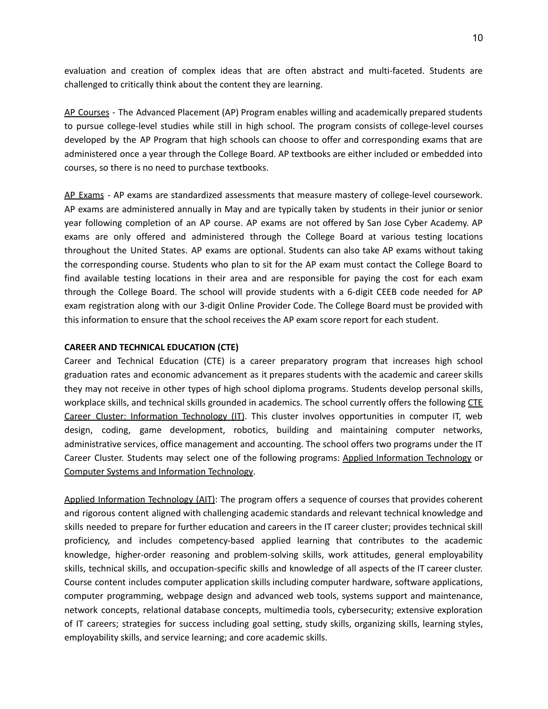evaluation and creation of complex ideas that are often abstract and multi-faceted. Students are challenged to critically think about the content they are learning.

AP Courses - The Advanced Placement (AP) Program enables willing and academically prepared students to pursue college-level studies while still in high school. The program consists of college-level courses developed by the AP Program that high schools can choose to offer and corresponding exams that are administered once a year through the College Board. AP textbooks are either included or embedded into courses, so there is no need to purchase textbooks.

AP Exams - AP exams are standardized assessments that measure mastery of college-level coursework. AP exams are administered annually in May and are typically taken by students in their junior or senior year following completion of an AP course. AP exams are not offered by San Jose Cyber Academy. AP exams are only offered and administered through the College Board at various testing locations throughout the United States. AP exams are optional. Students can also take AP exams without taking the corresponding course. Students who plan to sit for the AP exam must contact the College Board to find available testing locations in their area and are responsible for paying the cost for each exam through the College Board. The school will provide students with a 6-digit CEEB code needed for AP exam registration along with our 3-digit Online Provider Code. The College Board must be provided with this information to ensure that the school receives the AP exam score report for each student.

## **CAREER AND TECHNICAL EDUCATION (CTE)**

Career and Technical Education (CTE) is a career preparatory program that increases high school graduation rates and economic advancement as it prepares students with the academic and career skills they may not receive in other types of high school diploma programs. Students develop personal skills, workplace skills, and technical skills grounded in academics. The school currently offers the following CTE Career Cluster: Information Technology (IT). This cluster involves opportunities in computer IT, web design, coding, game development, robotics, building and maintaining computer networks, administrative services, office management and accounting. The school offers two programs under the IT Career Cluster. Students may select one of the following programs: Applied Information Technology or Computer Systems and Information Technology.

Applied Information Technology (AIT): The program offers a sequence of courses that provides coherent and rigorous content aligned with challenging academic standards and relevant technical knowledge and skills needed to prepare for further education and careers in the IT career cluster; provides technical skill proficiency, and includes competency-based applied learning that contributes to the academic knowledge, higher-order reasoning and problem-solving skills, work attitudes, general employability skills, technical skills, and occupation-specific skills and knowledge of all aspects of the IT career cluster. Course content includes computer application skills including computer hardware, software applications, computer programming, webpage design and advanced web tools, systems support and maintenance, network concepts, relational database concepts, multimedia tools, cybersecurity; extensive exploration of IT careers; strategies for success including goal setting, study skills, organizing skills, learning styles, employability skills, and service learning; and core academic skills.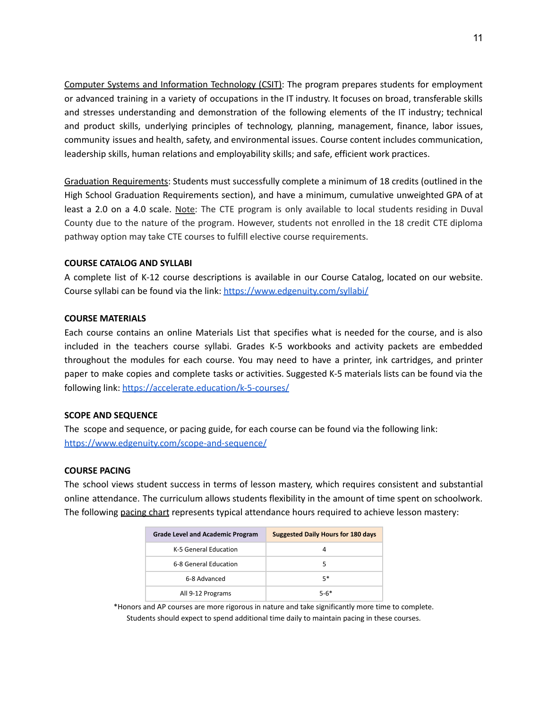Computer Systems and Information Technology (CSIT): The program prepares students for employment or advanced training in a variety of occupations in the IT industry. It focuses on broad, transferable skills and stresses understanding and demonstration of the following elements of the IT industry; technical and product skills, underlying principles of technology, planning, management, finance, labor issues, community issues and health, safety, and environmental issues. Course content includes communication, leadership skills, human relations and employability skills; and safe, efficient work practices.

Graduation Requirements: Students must successfully complete a minimum of 18 credits (outlined in the High School Graduation Requirements section), and have a minimum, cumulative unweighted GPA of at least a 2.0 on a 4.0 scale. Note: The CTE program is only available to local students residing in Duval County due to the nature of the program. However, students not enrolled in the 18 credit CTE diploma pathway option may take CTE courses to fulfill elective course requirements.

## **COURSE CATALOG AND SYLLABI**

A complete list of K-12 course descriptions is available in our Course Catalog, located on our website. Course syllabi can be found via the link: <https://www.edgenuity.com/syllabi/>

## **COURSE MATERIALS**

Each course contains an online Materials List that specifies what is needed for the course, and is also included in the teachers course syllabi. Grades K-5 workbooks and activity packets are embedded throughout the modules for each course. You may need to have a printer, ink cartridges, and printer paper to make copies and complete tasks or activities. Suggested K-5 materials lists can be found via the following link: <https://accelerate.education/k-5-courses/>

## **SCOPE AND SEQUENCE**

The scope and sequence, or pacing guide, for each course can be found via the following link: <https://www.edgenuity.com/scope-and-sequence/>

## **COURSE PACING**

The school views student success in terms of lesson mastery, which requires consistent and substantial online attendance. The curriculum allows students flexibility in the amount of time spent on schoolwork. The following pacing chart represents typical attendance hours required to achieve lesson mastery:

| <b>Grade Level and Academic Program</b> | <b>Suggested Daily Hours for 180 days</b> |
|-----------------------------------------|-------------------------------------------|
| K-5 General Education                   | 4                                         |
| 6-8 General Education                   | 5                                         |
| 6-8 Advanced                            | 5*                                        |
| All 9-12 Programs                       | 5-6*                                      |

\*Honors and AP courses are more rigorous in nature and take significantly more time to complete. Students should expect to spend additional time daily to maintain pacing in these courses.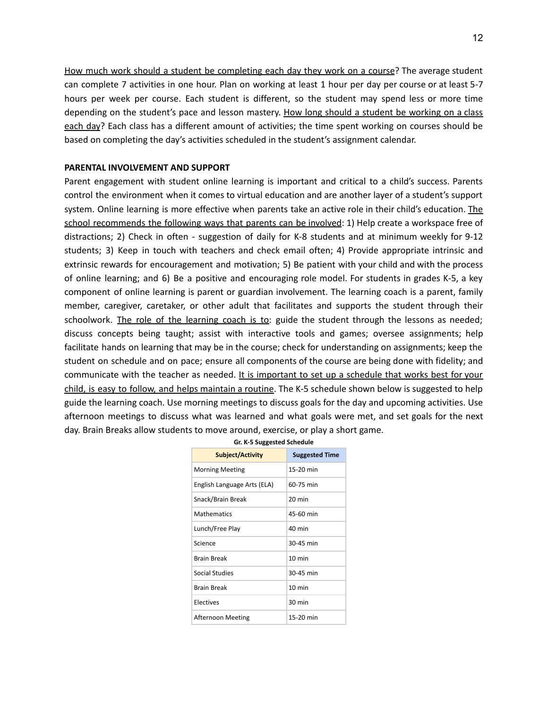How much work should a student be completing each day they work on a course? The average student can complete 7 activities in one hour. Plan on working at least 1 hour per day per course or at least 5-7 hours per week per course. Each student is different, so the student may spend less or more time depending on the student's pace and lesson mastery. How long should a student be working on a class each day? Each class has a different amount of activities; the time spent working on courses should be based on completing the day's activities scheduled in the student's assignment calendar.

#### **PARENTAL INVOLVEMENT AND SUPPORT**

Parent engagement with student online learning is important and critical to a child's success. Parents control the environment when it comes to virtual education and are another layer of a student's support system. Online learning is more effective when parents take an active role in their child's education. The school recommends the following ways that parents can be involved: 1) Help create a workspace free of distractions; 2) Check in often - suggestion of daily for K-8 students and at minimum weekly for 9-12 students; 3) Keep in touch with teachers and check email often; 4) Provide appropriate intrinsic and extrinsic rewards for encouragement and motivation; 5) Be patient with your child and with the process of online learning; and 6) Be a positive and encouraging role model. For students in grades K-5, a key component of online learning is parent or guardian involvement. The learning coach is a parent, family member, caregiver, caretaker, or other adult that facilitates and supports the student through their schoolwork. The role of the learning coach is to: guide the student through the lessons as needed; discuss concepts being taught; assist with interactive tools and games; oversee assignments; help facilitate hands on learning that may be in the course; check for understanding on assignments; keep the student on schedule and on pace; ensure all components of the course are being done with fidelity; and communicate with the teacher as needed. It is important to set up a schedule that works best for your child, is easy to follow, and helps maintain a routine. The K-5 schedule shown below is suggested to help guide the learning coach. Use morning meetings to discuss goals for the day and upcoming activities. Use afternoon meetings to discuss what was learned and what goals were met, and set goals for the next day. Brain Breaks allow students to move around, exercise, or play a short game.

| <b>Subject/Activity</b>     | <b>Suggested Time</b> |
|-----------------------------|-----------------------|
| <b>Morning Meeting</b>      | 15-20 min             |
| English Language Arts (ELA) | 60-75 min             |
| Snack/Brain Break           | 20 min                |
| <b>Mathematics</b>          | 45-60 min             |
| Lunch/Free Play             | $40 \text{ min}$      |
| Science                     | 30-45 min             |
| <b>Brain Break</b>          | $10 \text{ min}$      |
| Social Studies              | 30-45 min             |
| <b>Brain Break</b>          | $10 \text{ min}$      |
| Electives                   | 30 min                |
| Afternoon Meeting           | 15-20 min             |

|  |  | Gr. K-5 Suggested Schedule |  |
|--|--|----------------------------|--|
|--|--|----------------------------|--|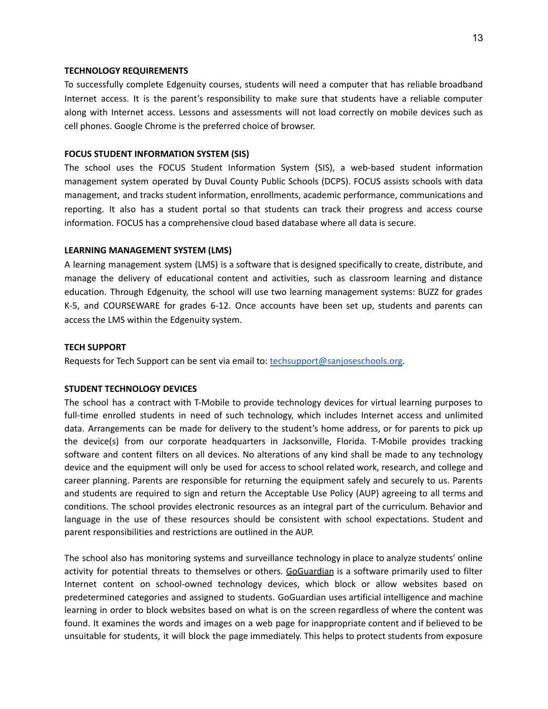#### **TECHNOLOGY REQUIREMENTS**

To successfully complete Edgenuity courses, students will need a computer that has reliable broadband Internet access. It is the parent's responsibility to make sure that students have a reliable computer along with Internet access. Lessons and assessments will not load correctly on mobile devices such as cell phones. Google Chrome is the preferred choice of browser.

## **FOCUS STUDENT INFORMATION SYSTEM (SIS)**

The school uses the FOCUS Student Information System (SIS), a web-based student information management system operated by Duval County Public Schools (DCPS). FOCUS assists schools with data management, and tracks student information, enrollments, academic performance, communications and reporting. It also has a student portal so that students can track their progress and access course information. FOCUS has a comprehensive cloud based database where all data is secure.

## **LEARNING MANAGEMENT SYSTEM (LMS)**

A learning management system (LMS) is a software that is designed specifically to create, distribute, and manage the delivery of educational content and activities, such as classroom learning and distance education. Through Edgenuity, the school will use two learning management systems: BUZZ for grades K-5, and COURSEWARE for grades 6-12. Once accounts have been set up, students and parents can access the LMS within the Edgenuity system.

#### **TECH SUPPORT**

Requests for Tech Support can be sent via email to: [techsupport@sanjoseschools.org.](mailto:techsupport@sanjoseschool.org)

## **STUDENT TECHNOLOGY DEVICES**

The school has a contract with T-Mobile to provide technology devices for virtual learning purposes to full-time enrolled students in need of such technology, which includes Internet access and unlimited data. Arrangements can be made for delivery to the student's home address, or for parents to pick up the device(s) from our corporate headquarters in Jacksonville, Florida. T-Mobile provides tracking software and content filters on all devices. No alterations of any kind shall be made to any technology device and the equipment will only be used for access to school related work, research, and college and career planning. Parents are responsible for returning the equipment safely and securely to us. Parents and students are required to sign and return the Acceptable Use Policy (AUP) agreeing to all terms and conditions. The school provides electronic resources as an integral part of the curriculum. Behavior and language in the use of these resources should be consistent with school expectations. Student and parent responsibilities and restrictions are outlined in the AUP.

The school also has monitoring systems and surveillance technology in place to analyze students' online activity for potential threats to themselves or others. GoGuardian is a software primarily used to filter Internet content on school-owned technology devices, which block or allow websites based on predetermined categories and assigned to students. GoGuardian uses artificial intelligence and machine learning in order to block websites based on what is on the screen regardless of where the content was found. It examines the words and images on a web page for inappropriate content and if believed to be unsuitable for students, it will block the page immediately. This helps to protect students from exposure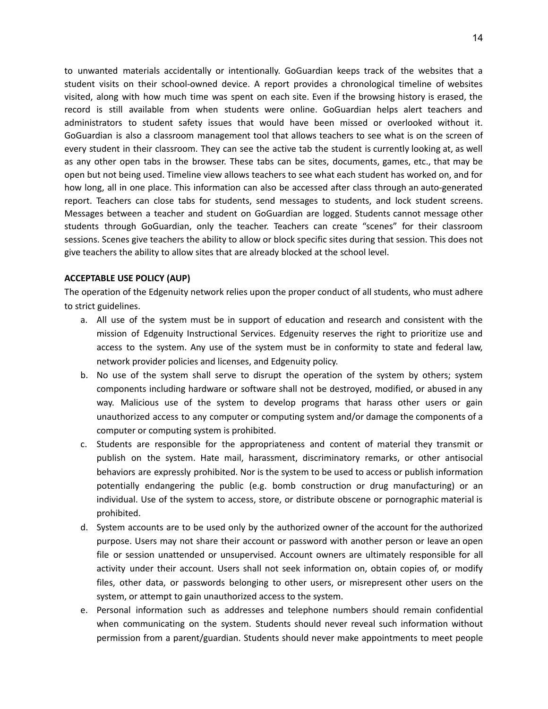to unwanted materials accidentally or intentionally. GoGuardian keeps track of the websites that a student visits on their school-owned device. A report provides a chronological timeline of websites visited, along with how much time was spent on each site. Even if the browsing history is erased, the record is still available from when students were online. GoGuardian helps alert teachers and administrators to student safety issues that would have been missed or overlooked without it. GoGuardian is also a classroom management tool that allows teachers to see what is on the screen of every student in their classroom. They can see the active tab the student is currently looking at, as well as any other open tabs in the browser. These tabs can be sites, documents, games, etc., that may be open but not being used. Timeline view allows teachers to see what each student has worked on, and for how long, all in one place. This information can also be accessed after class through an auto-generated report. Teachers can close tabs for students, send messages to students, and lock student screens. Messages between a teacher and student on GoGuardian are logged. Students cannot message other students through GoGuardian, only the teacher. Teachers can create "scenes" for their classroom sessions. Scenes give teachers the ability to allow or block specific sites during that session. This does not give teachers the ability to allow sites that are already blocked at the school level.

## **ACCEPTABLE USE POLICY (AUP)**

The operation of the Edgenuity network relies upon the proper conduct of all students, who must adhere to strict guidelines.

- a. All use of the system must be in support of education and research and consistent with the mission of Edgenuity Instructional Services. Edgenuity reserves the right to prioritize use and access to the system. Any use of the system must be in conformity to state and federal law, network provider policies and licenses, and Edgenuity policy.
- b. No use of the system shall serve to disrupt the operation of the system by others; system components including hardware or software shall not be destroyed, modified, or abused in any way. Malicious use of the system to develop programs that harass other users or gain unauthorized access to any computer or computing system and/or damage the components of a computer or computing system is prohibited.
- c. Students are responsible for the appropriateness and content of material they transmit or publish on the system. Hate mail, harassment, discriminatory remarks, or other antisocial behaviors are expressly prohibited. Nor is the system to be used to access or publish information potentially endangering the public (e.g. bomb construction or drug manufacturing) or an individual. Use of the system to access, store, or distribute obscene or pornographic material is prohibited.
- d. System accounts are to be used only by the authorized owner of the account for the authorized purpose. Users may not share their account or password with another person or leave an open file or session unattended or unsupervised. Account owners are ultimately responsible for all activity under their account. Users shall not seek information on, obtain copies of, or modify files, other data, or passwords belonging to other users, or misrepresent other users on the system, or attempt to gain unauthorized access to the system.
- e. Personal information such as addresses and telephone numbers should remain confidential when communicating on the system. Students should never reveal such information without permission from a parent/guardian. Students should never make appointments to meet people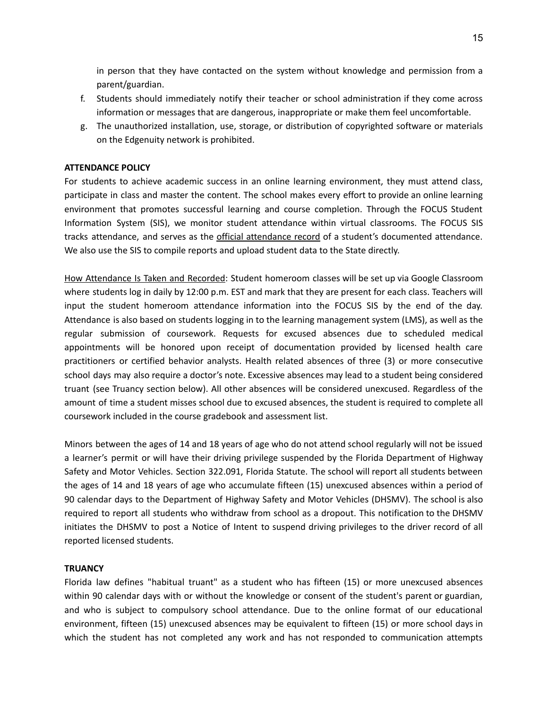in person that they have contacted on the system without knowledge and permission from a parent/guardian.

- f. Students should immediately notify their teacher or school administration if they come across information or messages that are dangerous, inappropriate or make them feel uncomfortable.
- g. The unauthorized installation, use, storage, or distribution of copyrighted software or materials on the Edgenuity network is prohibited.

## **ATTENDANCE POLICY**

For students to achieve academic success in an online learning environment, they must attend class, participate in class and master the content. The school makes every effort to provide an online learning environment that promotes successful learning and course completion. Through the FOCUS Student Information System (SIS), we monitor student attendance within virtual classrooms. The FOCUS SIS tracks attendance, and serves as the official attendance record of a student's documented attendance. We also use the SIS to compile reports and upload student data to the State directly.

How Attendance Is Taken and Recorded: Student homeroom classes will be set up via Google Classroom where students log in daily by 12:00 p.m. EST and mark that they are present for each class. Teachers will input the student homeroom attendance information into the FOCUS SIS by the end of the day. Attendance is also based on students logging in to the learning management system (LMS), as well as the regular submission of coursework. Requests for excused absences due to scheduled medical appointments will be honored upon receipt of documentation provided by licensed health care practitioners or certified behavior analysts. Health related absences of three (3) or more consecutive school days may also require a doctor's note. Excessive absences may lead to a student being considered truant (see Truancy section below). All other absences will be considered unexcused. Regardless of the amount of time a student misses school due to excused absences, the student is required to complete all coursework included in the course gradebook and assessment list.

Minors between the ages of 14 and 18 years of age who do not attend school regularly will not be issued a learner's permit or will have their driving privilege suspended by the Florida Department of Highway Safety and Motor Vehicles. Section 322.091, Florida Statute. The school will report all students between the ages of 14 and 18 years of age who accumulate fifteen (15) unexcused absences within a period of 90 calendar days to the Department of Highway Safety and Motor Vehicles (DHSMV). The school is also required to report all students who withdraw from school as a dropout. This notification to the DHSMV initiates the DHSMV to post a Notice of Intent to suspend driving privileges to the driver record of all reported licensed students.

## **TRUANCY**

Florida law defines "habitual truant" as a student who has fifteen (15) or more unexcused absences within 90 calendar days with or without the knowledge or consent of the student's parent or guardian, and who is subject to compulsory school attendance. Due to the online format of our educational environment, fifteen (15) unexcused absences may be equivalent to fifteen (15) or more school days in which the student has not completed any work and has not responded to communication attempts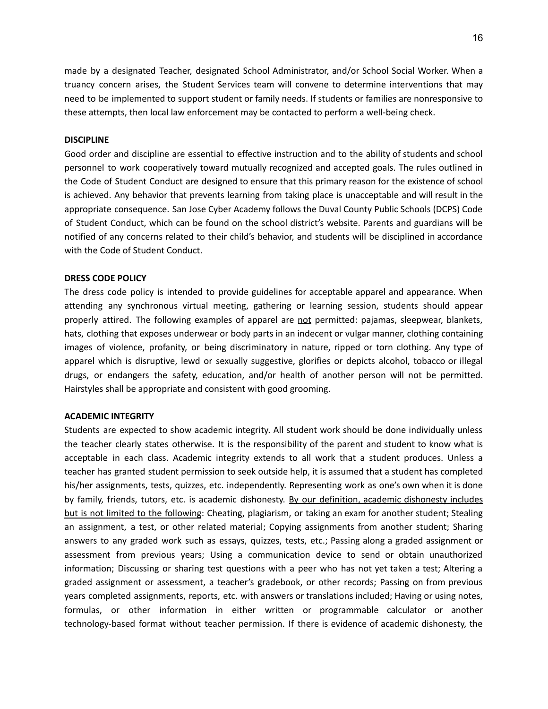made by a designated Teacher, designated School Administrator, and/or School Social Worker. When a truancy concern arises, the Student Services team will convene to determine interventions that may need to be implemented to support student or family needs. If students or families are nonresponsive to these attempts, then local law enforcement may be contacted to perform a well-being check.

#### **DISCIPLINE**

Good order and discipline are essential to effective instruction and to the ability of students and school personnel to work cooperatively toward mutually recognized and accepted goals. The rules outlined in the Code of Student Conduct are designed to ensure that this primary reason for the existence of school is achieved. Any behavior that prevents learning from taking place is unacceptable and will result in the appropriate consequence. San Jose Cyber Academy follows the Duval County Public Schools (DCPS) Code of Student Conduct, which can be found on the school district's website. Parents and guardians will be notified of any concerns related to their child's behavior, and students will be disciplined in accordance with the Code of Student Conduct.

#### **DRESS CODE POLICY**

The dress code policy is intended to provide guidelines for acceptable apparel and appearance. When attending any synchronous virtual meeting, gathering or learning session, students should appear properly attired. The following examples of apparel are not permitted: pajamas, sleepwear, blankets, hats, clothing that exposes underwear or body parts in an indecent or vulgar manner, clothing containing images of violence, profanity, or being discriminatory in nature, ripped or torn clothing. Any type of apparel which is disruptive, lewd or sexually suggestive, glorifies or depicts alcohol, tobacco or illegal drugs, or endangers the safety, education, and/or health of another person will not be permitted. Hairstyles shall be appropriate and consistent with good grooming.

#### **ACADEMIC INTEGRITY**

Students are expected to show academic integrity. All student work should be done individually unless the teacher clearly states otherwise. It is the responsibility of the parent and student to know what is acceptable in each class. Academic integrity extends to all work that a student produces. Unless a teacher has granted student permission to seek outside help, it is assumed that a student has completed his/her assignments, tests, quizzes, etc. independently. Representing work as one's own when it is done by family, friends, tutors, etc. is academic dishonesty. By our definition, academic dishonesty includes but is not limited to the following: Cheating, plagiarism, or taking an exam for another student; Stealing an assignment, a test, or other related material; Copying assignments from another student; Sharing answers to any graded work such as essays, quizzes, tests, etc.; Passing along a graded assignment or assessment from previous years; Using a communication device to send or obtain unauthorized information; Discussing or sharing test questions with a peer who has not yet taken a test; Altering a graded assignment or assessment, a teacher's gradebook, or other records; Passing on from previous years completed assignments, reports, etc. with answers or translations included; Having or using notes, formulas, or other information in either written or programmable calculator or another technology-based format without teacher permission. If there is evidence of academic dishonesty, the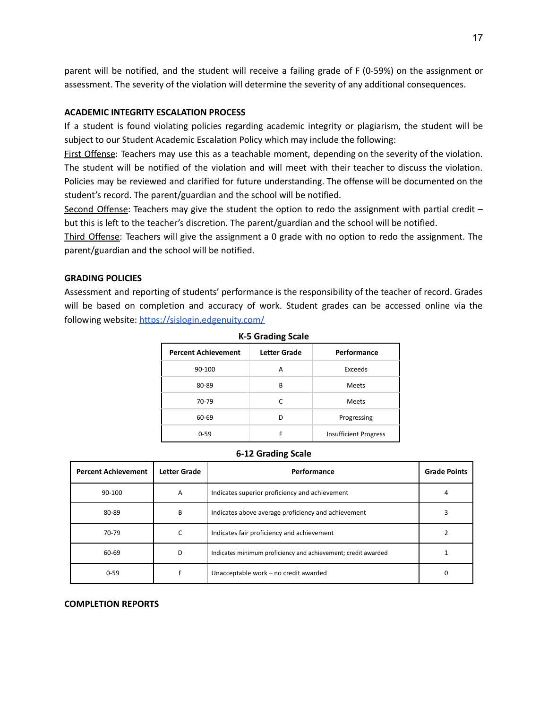parent will be notified, and the student will receive a failing grade of F (0-59%) on the assignment or assessment. The severity of the violation will determine the severity of any additional consequences.

#### **ACADEMIC INTEGRITY ESCALATION PROCESS**

If a student is found violating policies regarding academic integrity or plagiarism, the student will be subject to our Student Academic Escalation Policy which may include the following:

First Offense: Teachers may use this as a teachable moment, depending on the severity of the violation. The student will be notified of the violation and will meet with their teacher to discuss the violation. Policies may be reviewed and clarified for future understanding. The offense will be documented on the student's record. The parent/guardian and the school will be notified.

Second Offense: Teachers may give the student the option to redo the assignment with partial credit – but this is left to the teacher's discretion. The parent/guardian and the school will be notified.

Third Offense: Teachers will give the assignment a 0 grade with no option to redo the assignment. The parent/guardian and the school will be notified.

## **GRADING POLICIES**

Assessment and reporting of students' performance is the responsibility of the teacher of record. Grades will be based on completion and accuracy of work. Student grades can be accessed online via the following website: <https://sislogin.edgenuity.com/>

| <b>Percent Achievement</b> | Letter Grade | Performance                  |
|----------------------------|--------------|------------------------------|
| 90-100                     | А            | Exceeds                      |
| 80-89                      | B            | <b>Meets</b>                 |
| 70-79                      |              | <b>Meets</b>                 |
| 60-69                      | n            | Progressing                  |
| $0 - 59$                   | F            | <b>Insufficient Progress</b> |

#### **K-5 Grading Scale**

#### **6-12 Grading Scale**

| <b>Percent Achievement</b> | Letter Grade | Performance                                                   | <b>Grade Points</b> |
|----------------------------|--------------|---------------------------------------------------------------|---------------------|
| 90-100                     | A            | Indicates superior proficiency and achievement                |                     |
| 80-89                      | B            | Indicates above average proficiency and achievement           |                     |
| 70-79                      | С            | Indicates fair proficiency and achievement                    |                     |
| 60-69                      | D            | Indicates minimum proficiency and achievement; credit awarded |                     |
| $0 - 59$                   |              | Unacceptable work - no credit awarded                         |                     |

#### **COMPLETION REPORTS**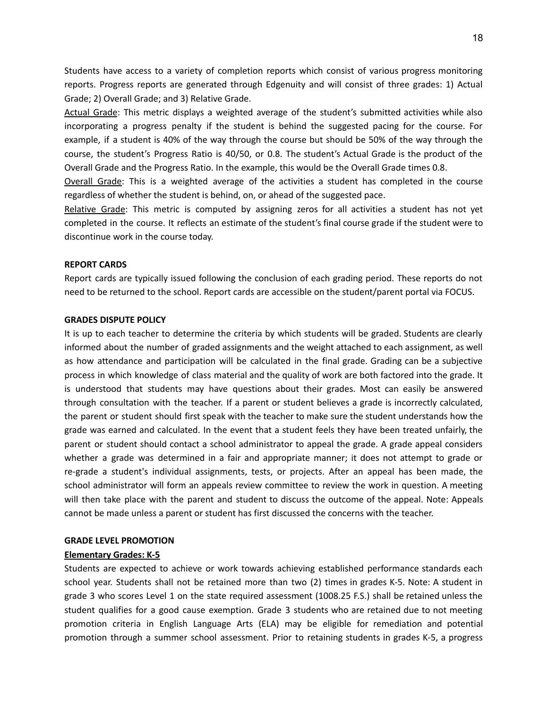Students have access to a variety of completion reports which consist of various progress monitoring reports. Progress reports are generated through Edgenuity and will consist of three grades: 1) Actual Grade; 2) Overall Grade; and 3) Relative Grade.

Actual Grade: This metric displays a weighted average of the student's submitted activities while also incorporating a progress penalty if the student is behind the suggested pacing for the course. For example, if a student is 40% of the way through the course but should be 50% of the way through the course, the student's Progress Ratio is 40/50, or 0.8. The student's Actual Grade is the product of the Overall Grade and the Progress Ratio. In the example, this would be the Overall Grade times 0.8.

Overall Grade: This is a weighted average of the activities a student has completed in the course regardless of whether the student is behind, on, or ahead of the suggested pace.

Relative Grade: This metric is computed by assigning zeros for all activities a student has not yet completed in the course. It reflects an estimate of the student's final course grade if the student were to discontinue work in the course today.

#### **REPORT CARDS**

Report cards are typically issued following the conclusion of each grading period. These reports do not need to be returned to the school. Report cards are accessible on the student/parent portal via FOCUS.

## **GRADES DISPUTE POLICY**

It is up to each teacher to determine the criteria by which students will be graded. Students are clearly informed about the number of graded assignments and the weight attached to each assignment, as well as how attendance and participation will be calculated in the final grade. Grading can be a subjective process in which knowledge of class material and the quality of work are both factored into the grade. It is understood that students may have questions about their grades. Most can easily be answered through consultation with the teacher. If a parent or student believes a grade is incorrectly calculated, the parent or student should first speak with the teacher to make sure the student understands how the grade was earned and calculated. In the event that a student feels they have been treated unfairly, the parent or student should contact a school administrator to appeal the grade. A grade appeal considers whether a grade was determined in a fair and appropriate manner; it does not attempt to grade or re-grade a student's individual assignments, tests, or projects. After an appeal has been made, the school administrator will form an appeals review committee to review the work in question. A meeting will then take place with the parent and student to discuss the outcome of the appeal. Note: Appeals cannot be made unless a parent or student has first discussed the concerns with the teacher.

#### **GRADE LEVEL PROMOTION**

#### **Elementary Grades: K-5**

Students are expected to achieve or work towards achieving established performance standards each school year. Students shall not be retained more than two (2) times in grades K-5. Note: A student in grade 3 who scores Level 1 on the state required assessment (1008.25 F.S.) shall be retained unless the student qualifies for a good cause exemption. Grade 3 students who are retained due to not meeting promotion criteria in English Language Arts (ELA) may be eligible for remediation and potential promotion through a summer school assessment. Prior to retaining students in grades K-5, a progress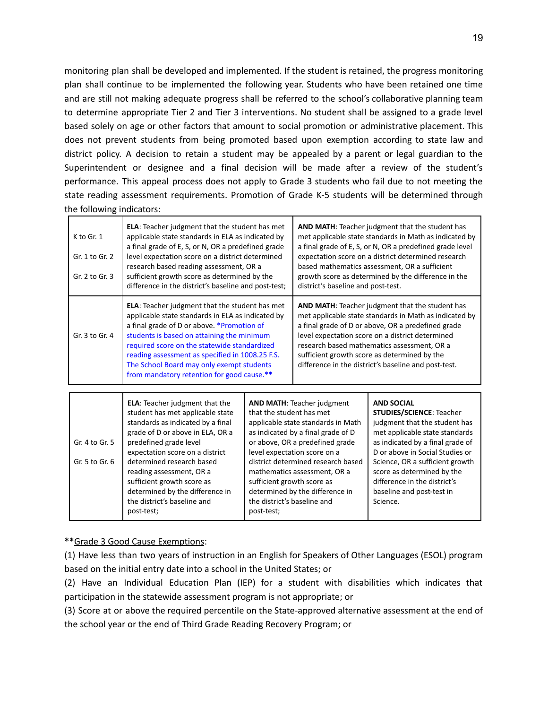monitoring plan shall be developed and implemented. If the student is retained, the progress monitoring plan shall continue to be implemented the following year. Students who have been retained one time and are still not making adequate progress shall be referred to the school's collaborative planning team to determine appropriate Tier 2 and Tier 3 interventions. No student shall be assigned to a grade level based solely on age or other factors that amount to social promotion or administrative placement. This does not prevent students from being promoted based upon exemption according to state law and district policy. A decision to retain a student may be appealed by a parent or legal guardian to the Superintendent or designee and a final decision will be made after a review of the student's performance. This appeal process does not apply to Grade 3 students who fail due to not meeting the state reading assessment requirements. Promotion of Grade K-5 students will be determined through the following indicators:

| K to Gr. 1<br>Gr. 1 to Gr. 2<br>Gr. 2 to Gr. 3 | <b>ELA:</b> Teacher judgment that the student has met<br>applicable state standards in ELA as indicated by<br>a final grade of E, S, or N, OR a predefined grade<br>level expectation score on a district determined<br>research based reading assessment, OR a<br>sufficient growth score as determined by the<br>difference in the district's baseline and post-test;                               | <b>AND MATH:</b> Teacher judgment that the student has<br>met applicable state standards in Math as indicated by<br>a final grade of E, S, or N, OR a predefined grade level<br>expectation score on a district determined research<br>based mathematics assessment, OR a sufficient<br>growth score as determined by the difference in the<br>district's baseline and post-test. |
|------------------------------------------------|-------------------------------------------------------------------------------------------------------------------------------------------------------------------------------------------------------------------------------------------------------------------------------------------------------------------------------------------------------------------------------------------------------|-----------------------------------------------------------------------------------------------------------------------------------------------------------------------------------------------------------------------------------------------------------------------------------------------------------------------------------------------------------------------------------|
| Gr. 3 to Gr. 4                                 | <b>ELA:</b> Teacher judgment that the student has met<br>applicable state standards in ELA as indicated by<br>a final grade of D or above. * Promotion of<br>students is based on attaining the minimum<br>required score on the statewide standardized<br>reading assessment as specified in 1008.25 F.S.<br>The School Board may only exempt students<br>from mandatory retention for good cause.** | <b>AND MATH:</b> Teacher judgment that the student has<br>met applicable state standards in Math as indicated by<br>a final grade of D or above, OR a predefined grade<br>level expectation score on a district determined<br>research based mathematics assessment, OR a<br>sufficient growth score as determined by the<br>difference in the district's baseline and post-test. |

| Gr. 4 to Gr. 5<br>Gr. 5 to Gr. 6 | <b>ELA:</b> Teacher judgment that the<br>student has met applicable state<br>standards as indicated by a final<br>grade of D or above in ELA, OR a<br>predefined grade level<br>expectation score on a district<br>determined research based<br>reading assessment, OR a<br>sufficient growth score as<br>determined by the difference in<br>the district's baseline and | <b>AND MATH: Teacher judgment</b><br>that the student has met<br>applicable state standards in Math<br>as indicated by a final grade of D<br>or above, OR a predefined grade<br>level expectation score on a<br>district determined research based<br>mathematics assessment, OR a<br>sufficient growth score as<br>determined by the difference in<br>the district's baseline and | <b>AND SOCIAL</b><br><b>STUDIES/SCIENCE: Teacher</b><br>judgment that the student has<br>met applicable state standards<br>as indicated by a final grade of<br>D or above in Social Studies or<br>Science, OR a sufficient growth<br>score as determined by the<br>difference in the district's<br>baseline and post-test in<br>Science. |
|----------------------------------|--------------------------------------------------------------------------------------------------------------------------------------------------------------------------------------------------------------------------------------------------------------------------------------------------------------------------------------------------------------------------|------------------------------------------------------------------------------------------------------------------------------------------------------------------------------------------------------------------------------------------------------------------------------------------------------------------------------------------------------------------------------------|------------------------------------------------------------------------------------------------------------------------------------------------------------------------------------------------------------------------------------------------------------------------------------------------------------------------------------------|
|                                  | post-test;                                                                                                                                                                                                                                                                                                                                                               | post-test;                                                                                                                                                                                                                                                                                                                                                                         |                                                                                                                                                                                                                                                                                                                                          |

## **\*\***Grade 3 Good Cause Exemptions:

(1) Have less than two years of instruction in an English for Speakers of Other Languages (ESOL) program based on the initial entry date into a school in the United States; or

(2) Have an Individual Education Plan (IEP) for a student with disabilities which indicates that participation in the statewide assessment program is not appropriate; or

(3) Score at or above the required percentile on the State-approved alternative assessment at the end of the school year or the end of Third Grade Reading Recovery Program; or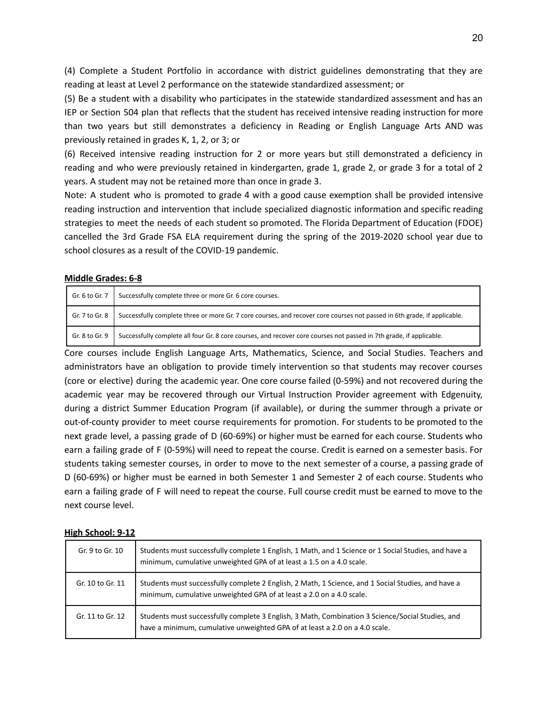(4) Complete a Student Portfolio in accordance with district guidelines demonstrating that they are reading at least at Level 2 performance on the statewide standardized assessment; or

(5) Be a student with a disability who participates in the statewide standardized assessment and has an IEP or Section 504 plan that reflects that the student has received intensive reading instruction for more than two years but still demonstrates a deficiency in Reading or English Language Arts AND was previously retained in grades K, 1, 2, or 3; or

(6) Received intensive reading instruction for 2 or more years but still demonstrated a deficiency in reading and who were previously retained in kindergarten, grade 1, grade 2, or grade 3 for a total of 2 years. A student may not be retained more than once in grade 3.

Note: A student who is promoted to grade 4 with a good cause exemption shall be provided intensive reading instruction and intervention that include specialized diagnostic information and specific reading strategies to meet the needs of each student so promoted. The Florida Department of Education (FDOE) cancelled the 3rd Grade FSA ELA requirement during the spring of the 2019-2020 school year due to school closures as a result of the COVID-19 pandemic.

## **Middle Grades: 6-8**

| Gr. 6 to Gr. 7 | Successfully complete three or more Gr. 6 core courses.                                                                  |
|----------------|--------------------------------------------------------------------------------------------------------------------------|
| Gr. 7 to Gr. 8 | Successfully complete three or more Gr. 7 core courses, and recover core courses not passed in 6th grade, if applicable. |
| Gr. 8 to Gr. 9 | Successfully complete all four Gr. 8 core courses, and recover core courses not passed in 7th grade, if applicable.      |

Core courses include English Language Arts, Mathematics, Science, and Social Studies. Teachers and administrators have an obligation to provide timely intervention so that students may recover courses (core or elective) during the academic year. One core course failed (0-59%) and not recovered during the academic year may be recovered through our Virtual Instruction Provider agreement with Edgenuity, during a district Summer Education Program (if available), or during the summer through a private or out-of-county provider to meet course requirements for promotion. For students to be promoted to the next grade level, a passing grade of D (60-69%) or higher must be earned for each course. Students who earn a failing grade of F (0-59%) will need to repeat the course. Credit is earned on a semester basis. For students taking semester courses, in order to move to the next semester of a course, a passing grade of D (60-69%) or higher must be earned in both Semester 1 and Semester 2 of each course. Students who earn a failing grade of F will need to repeat the course. Full course credit must be earned to move to the next course level.

## **High School: 9-12**

| Gr. 9 to Gr. 10  | Students must successfully complete 1 English, 1 Math, and 1 Science or 1 Social Studies, and have a<br>minimum, cumulative unweighted GPA of at least a 1.5 on a 4.0 scale.    |
|------------------|---------------------------------------------------------------------------------------------------------------------------------------------------------------------------------|
| Gr. 10 to Gr. 11 | Students must successfully complete 2 English, 2 Math, 1 Science, and 1 Social Studies, and have a<br>minimum, cumulative unweighted GPA of at least a 2.0 on a 4.0 scale.      |
| Gr. 11 to Gr. 12 | Students must successfully complete 3 English, 3 Math, Combination 3 Science/Social Studies, and<br>have a minimum, cumulative unweighted GPA of at least a 2.0 on a 4.0 scale. |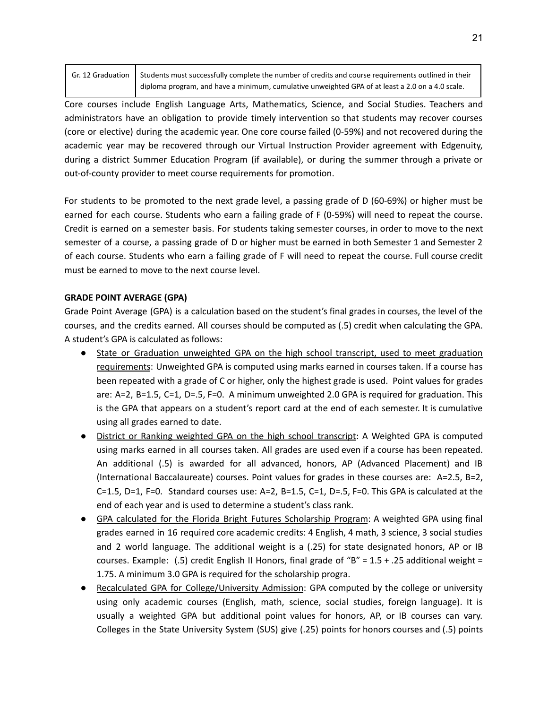| Gr. 12 Graduation   Students must successfully complete the number of credits and course requirements outlined in their |
|-------------------------------------------------------------------------------------------------------------------------|
| diploma program, and have a minimum, cumulative unweighted GPA of at least a 2.0 on a 4.0 scale.                        |

Core courses include English Language Arts, Mathematics, Science, and Social Studies. Teachers and administrators have an obligation to provide timely intervention so that students may recover courses (core or elective) during the academic year. One core course failed (0-59%) and not recovered during the academic year may be recovered through our Virtual Instruction Provider agreement with Edgenuity, during a district Summer Education Program (if available), or during the summer through a private or out-of-county provider to meet course requirements for promotion.

For students to be promoted to the next grade level, a passing grade of D (60-69%) or higher must be earned for each course. Students who earn a failing grade of F (0-59%) will need to repeat the course. Credit is earned on a semester basis. For students taking semester courses, in order to move to the next semester of a course, a passing grade of D or higher must be earned in both Semester 1 and Semester 2 of each course. Students who earn a failing grade of F will need to repeat the course. Full course credit must be earned to move to the next course level.

## **GRADE POINT AVERAGE (GPA)**

Grade Point Average (GPA) is a calculation based on the student's final grades in courses, the level of the courses, and the credits earned. All courses should be computed as (.5) credit when calculating the GPA. A student's GPA is calculated as follows:

- State or Graduation unweighted GPA on the high school transcript, used to meet graduation requirements: Unweighted GPA is computed using marks earned in courses taken. If a course has been repeated with a grade of C or higher, only the highest grade is used. Point values for grades are: A=2, B=1.5, C=1, D=.5, F=0. A minimum unweighted 2.0 GPA is required for graduation. This is the GPA that appears on a student's report card at the end of each semester. It is cumulative using all grades earned to date.
- District or Ranking weighted GPA on the high school transcript: A Weighted GPA is computed using marks earned in all courses taken. All grades are used even if a course has been repeated. An additional (.5) is awarded for all advanced, honors, AP (Advanced Placement) and IB (International Baccalaureate) courses. Point values for grades in these courses are: A=2.5, B=2, C=1.5, D=1, F=0. Standard courses use: A=2, B=1.5, C=1, D=.5, F=0. This GPA is calculated at the end of each year and is used to determine a student's class rank.
- GPA calculated for the Florida Bright Futures Scholarship Program: A weighted GPA using final grades earned in 16 required core academic credits: 4 English, 4 math, 3 science, 3 social studies and 2 world language. The additional weight is a (.25) for state designated honors, AP or IB courses. Example: (.5) credit English II Honors, final grade of "B" =  $1.5 + .25$  additional weight = 1.75. A minimum 3.0 GPA is required for the scholarship progra.
- Recalculated GPA for College/University Admission: GPA computed by the college or university using only academic courses (English, math, science, social studies, foreign language). It is usually a weighted GPA but additional point values for honors, AP, or IB courses can vary. Colleges in the State University System (SUS) give (.25) points for honors courses and (.5) points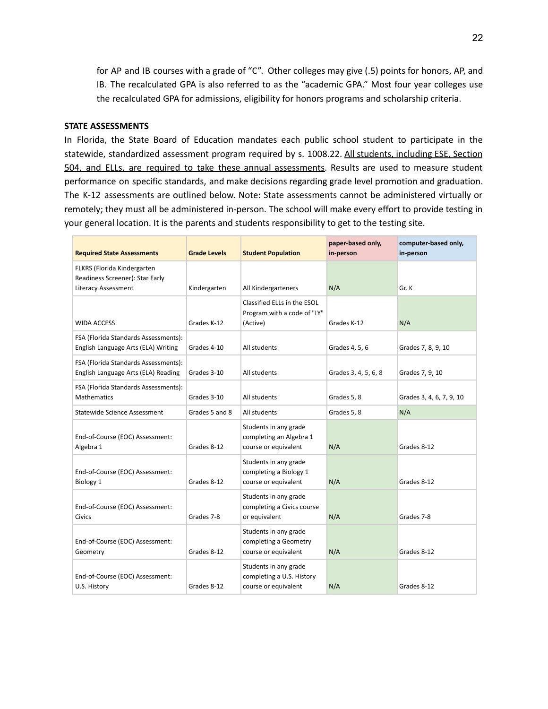for AP and IB courses with a grade of "C". Other colleges may give (.5) points for honors, AP, and IB. The recalculated GPA is also referred to as the "academic GPA." Most four year colleges use the recalculated GPA for admissions, eligibility for honors programs and scholarship criteria.

## **STATE ASSESSMENTS**

In Florida, the State Board of Education mandates each public school student to participate in the statewide, standardized assessment program required by s. 1008.22. All students, including ESE, Section 504, and ELLs, are required to take these annual assessments. Results are used to measure student performance on specific standards, and make decisions regarding grade level promotion and graduation. The K-12 assessments are outlined below. Note: State assessments cannot be administered virtually or remotely; they must all be administered in-person. The school will make every effort to provide testing in your general location. It is the parents and students responsibility to get to the testing site.

| <b>Required State Assessments</b>                                           | <b>Grade Levels</b> | <b>Student Population</b>                                                  | paper-based only,<br>in-person | computer-based only,<br>in-person |
|-----------------------------------------------------------------------------|---------------------|----------------------------------------------------------------------------|--------------------------------|-----------------------------------|
| FLKRS (Florida Kindergarten<br>Readiness Screener): Star Early              |                     |                                                                            |                                |                                   |
| Literacy Assessment                                                         | Kindergarten        | All Kindergarteners                                                        | N/A                            | Gr. K                             |
| <b>WIDA ACCESS</b>                                                          | Grades K-12         | Classified ELLs in the ESOL<br>Program with a code of "LY"<br>(Active)     | Grades K-12                    | N/A                               |
| FSA (Florida Standards Assessments):<br>English Language Arts (ELA) Writing | Grades 4-10         | All students                                                               | Grades 4, 5, 6                 | Grades 7, 8, 9, 10                |
| FSA (Florida Standards Assessments):<br>English Language Arts (ELA) Reading | Grades 3-10         | All students                                                               | Grades 3, 4, 5, 6, 8           | Grades 7, 9, 10                   |
| FSA (Florida Standards Assessments):<br><b>Mathematics</b>                  | Grades 3-10         | All students                                                               | Grades 5, 8                    | Grades 3, 4, 6, 7, 9, 10          |
| Statewide Science Assessment                                                | Grades 5 and 8      | All students                                                               | Grades 5, 8                    | N/A                               |
| End-of-Course (EOC) Assessment:<br>Algebra 1                                | Grades 8-12         | Students in any grade<br>completing an Algebra 1<br>course or equivalent   | N/A                            | Grades 8-12                       |
| End-of-Course (EOC) Assessment:<br>Biology 1                                | Grades 8-12         | Students in any grade<br>completing a Biology 1<br>course or equivalent    | N/A                            | Grades 8-12                       |
| End-of-Course (EOC) Assessment:<br><b>Civics</b>                            | Grades 7-8          | Students in any grade<br>completing a Civics course<br>or equivalent       | N/A                            | Grades 7-8                        |
| End-of-Course (EOC) Assessment:<br>Geometry                                 | Grades 8-12         | Students in any grade<br>completing a Geometry<br>course or equivalent     | N/A                            | Grades 8-12                       |
| End-of-Course (EOC) Assessment:<br>U.S. History                             | Grades 8-12         | Students in any grade<br>completing a U.S. History<br>course or equivalent | N/A                            | Grades 8-12                       |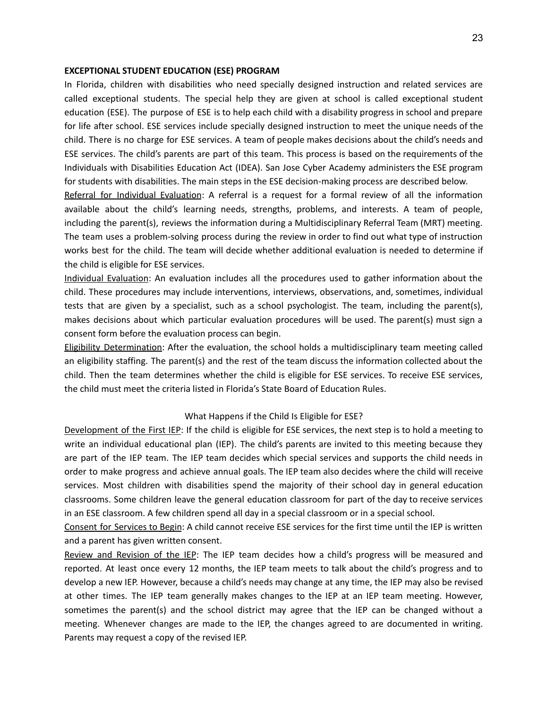#### **EXCEPTIONAL STUDENT EDUCATION (ESE) PROGRAM**

In Florida, children with disabilities who need specially designed instruction and related services are called exceptional students. The special help they are given at school is called exceptional student education (ESE). The purpose of ESE is to help each child with a disability progress in school and prepare for life after school. ESE services include specially designed instruction to meet the unique needs of the child. There is no charge for ESE services. A team of people makes decisions about the child's needs and ESE services. The child's parents are part of this team. This process is based on the requirements of the Individuals with Disabilities Education Act (IDEA). San Jose Cyber Academy administers the ESE program for students with disabilities. The main steps in the ESE decision-making process are described below.

Referral for Individual Evaluation: A referral is a request for a formal review of all the information available about the child's learning needs, strengths, problems, and interests. A team of people, including the parent(s), reviews the information during a Multidisciplinary Referral Team (MRT) meeting. The team uses a problem-solving process during the review in order to find out what type of instruction works best for the child. The team will decide whether additional evaluation is needed to determine if the child is eligible for ESE services.

Individual Evaluation: An evaluation includes all the procedures used to gather information about the child. These procedures may include interventions, interviews, observations, and, sometimes, individual tests that are given by a specialist, such as a school psychologist. The team, including the parent(s), makes decisions about which particular evaluation procedures will be used. The parent(s) must sign a consent form before the evaluation process can begin.

Eligibility Determination: After the evaluation, the school holds a multidisciplinary team meeting called an eligibility staffing. The parent(s) and the rest of the team discuss the information collected about the child. Then the team determines whether the child is eligible for ESE services. To receive ESE services, the child must meet the criteria listed in Florida's State Board of Education Rules.

#### What Happens if the Child Is Eligible for ESE?

Development of the First IEP: If the child is eligible for ESE services, the next step is to hold a meeting to write an individual educational plan (IEP). The child's parents are invited to this meeting because they are part of the IEP team. The IEP team decides which special services and supports the child needs in order to make progress and achieve annual goals. The IEP team also decides where the child will receive services. Most children with disabilities spend the majority of their school day in general education classrooms. Some children leave the general education classroom for part of the day to receive services in an ESE classroom. A few children spend all day in a special classroom or in a special school.

Consent for Services to Begin: A child cannot receive ESE services for the first time until the IEP is written and a parent has given written consent.

Review and Revision of the IEP: The IEP team decides how a child's progress will be measured and reported. At least once every 12 months, the IEP team meets to talk about the child's progress and to develop a new IEP. However, because a child's needs may change at any time, the IEP may also be revised at other times. The IEP team generally makes changes to the IEP at an IEP team meeting. However, sometimes the parent(s) and the school district may agree that the IEP can be changed without a meeting. Whenever changes are made to the IEP, the changes agreed to are documented in writing. Parents may request a copy of the revised IEP.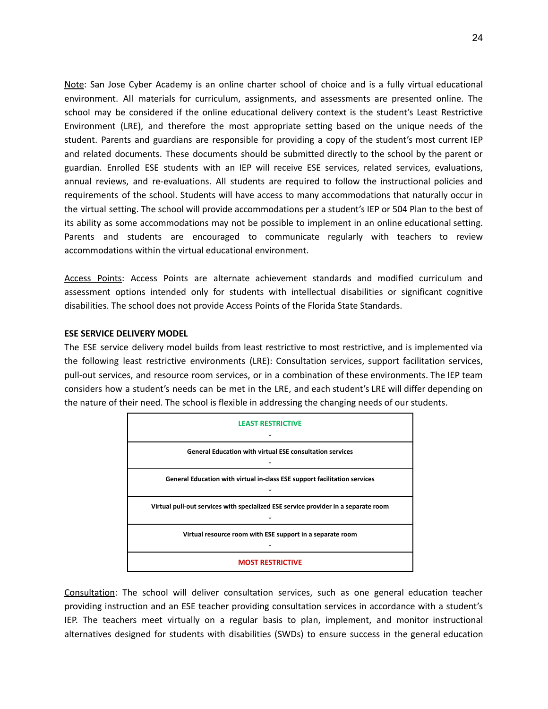Note: San Jose Cyber Academy is an online charter school of choice and is a fully virtual educational environment. All materials for curriculum, assignments, and assessments are presented online. The school may be considered if the online educational delivery context is the student's Least Restrictive Environment (LRE), and therefore the most appropriate setting based on the unique needs of the student. Parents and guardians are responsible for providing a copy of the student's most current IEP and related documents. These documents should be submitted directly to the school by the parent or guardian. Enrolled ESE students with an IEP will receive ESE services, related services, evaluations, annual reviews, and re-evaluations. All students are required to follow the instructional policies and requirements of the school. Students will have access to many accommodations that naturally occur in the virtual setting. The school will provide accommodations per a student's IEP or 504 Plan to the best of its ability as some accommodations may not be possible to implement in an online educational setting. Parents and students are encouraged to communicate regularly with teachers to review accommodations within the virtual educational environment.

Access Points: Access Points are alternate achievement standards and modified curriculum and assessment options intended only for students with intellectual disabilities or significant cognitive disabilities. The school does not provide Access Points of the Florida State Standards.

## **ESE SERVICE DELIVERY MODEL**

The ESE service delivery model builds from least restrictive to most restrictive, and is implemented via the following least restrictive environments (LRE): Consultation services, support facilitation services, pull-out services, and resource room services, or in a combination of these environments. The IEP team considers how a student's needs can be met in the LRE, and each student's LRE will differ depending on the nature of their need. The school is flexible in addressing the changing needs of our students.



Consultation: The school will deliver consultation services, such as one general education teacher providing instruction and an ESE teacher providing consultation services in accordance with a student's IEP. The teachers meet virtually on a regular basis to plan, implement, and monitor instructional alternatives designed for students with disabilities (SWDs) to ensure success in the general education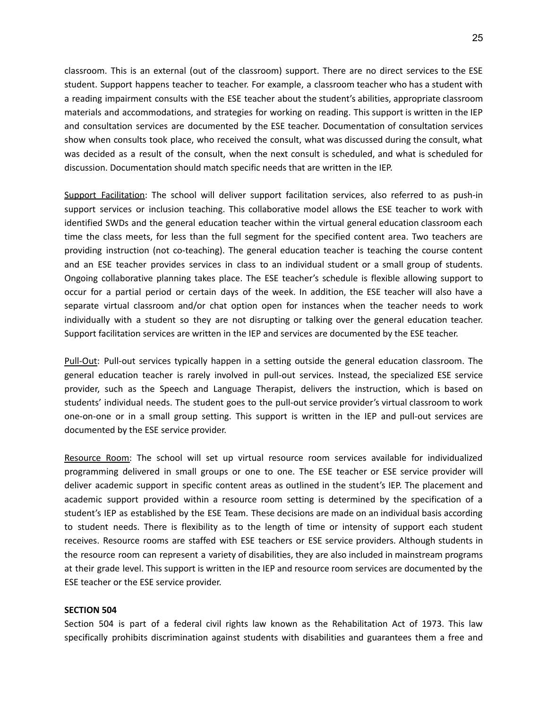classroom. This is an external (out of the classroom) support. There are no direct services to the ESE student. Support happens teacher to teacher. For example, a classroom teacher who has a student with a reading impairment consults with the ESE teacher about the student's abilities, appropriate classroom materials and accommodations, and strategies for working on reading. This support is written in the IEP and consultation services are documented by the ESE teacher. Documentation of consultation services show when consults took place, who received the consult, what was discussed during the consult, what was decided as a result of the consult, when the next consult is scheduled, and what is scheduled for discussion. Documentation should match specific needs that are written in the IEP.

Support Facilitation: The school will deliver support facilitation services, also referred to as push-in support services or inclusion teaching. This collaborative model allows the ESE teacher to work with identified SWDs and the general education teacher within the virtual general education classroom each time the class meets, for less than the full segment for the specified content area. Two teachers are providing instruction (not co-teaching). The general education teacher is teaching the course content and an ESE teacher provides services in class to an individual student or a small group of students. Ongoing collaborative planning takes place. The ESE teacher's schedule is flexible allowing support to occur for a partial period or certain days of the week. In addition, the ESE teacher will also have a separate virtual classroom and/or chat option open for instances when the teacher needs to work individually with a student so they are not disrupting or talking over the general education teacher. Support facilitation services are written in the IEP and services are documented by the ESE teacher.

Pull-Out: Pull-out services typically happen in a setting outside the general education classroom. The general education teacher is rarely involved in pull-out services. Instead, the specialized ESE service provider, such as the Speech and Language Therapist, delivers the instruction, which is based on students' individual needs. The student goes to the pull-out service provider's virtual classroom to work one-on-one or in a small group setting. This support is written in the IEP and pull-out services are documented by the ESE service provider.

Resource Room: The school will set up virtual resource room services available for individualized programming delivered in small groups or one to one. The ESE teacher or ESE service provider will deliver academic support in specific content areas as outlined in the student's IEP. The placement and academic support provided within a resource room setting is determined by the specification of a student's IEP as established by the ESE Team. These decisions are made on an individual basis according to student needs. There is flexibility as to the length of time or intensity of support each student receives. Resource rooms are staffed with ESE teachers or ESE service providers. Although students in the resource room can represent a variety of disabilities, they are also included in mainstream programs at their grade level. This support is written in the IEP and resource room services are documented by the ESE teacher or the ESE service provider.

### **SECTION 504**

Section 504 is part of a federal civil rights law known as the Rehabilitation Act of 1973. This law specifically prohibits discrimination against students with disabilities and guarantees them a free and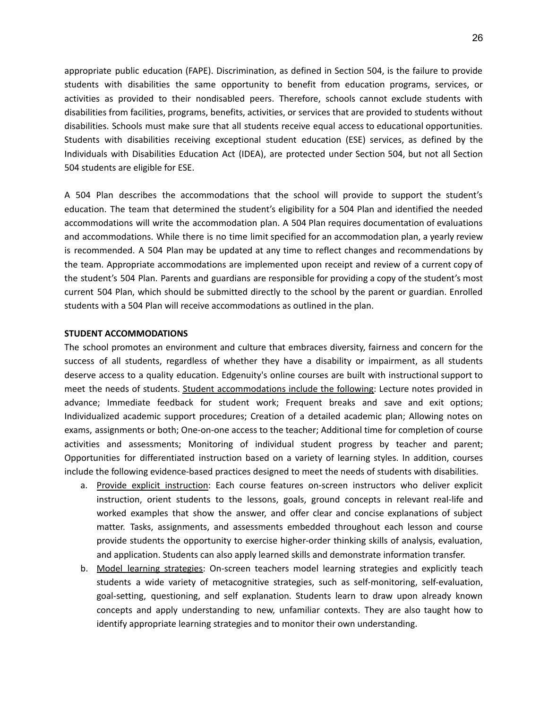appropriate public education (FAPE). Discrimination, as defined in Section 504, is the failure to provide students with disabilities the same opportunity to benefit from education programs, services, or activities as provided to their nondisabled peers. Therefore, schools cannot exclude students with disabilities from facilities, programs, benefits, activities, or services that are provided to students without disabilities. Schools must make sure that all students receive equal access to educational opportunities. Students with disabilities receiving exceptional student education (ESE) services, as defined by the Individuals with Disabilities Education Act (IDEA), are protected under Section 504, but not all Section 504 students are eligible for ESE.

A 504 Plan describes the accommodations that the school will provide to support the student's education. The team that determined the student's eligibility for a 504 Plan and identified the needed accommodations will write the accommodation plan. A 504 Plan requires documentation of evaluations and accommodations. While there is no time limit specified for an accommodation plan, a yearly review is recommended. A 504 Plan may be updated at any time to reflect changes and recommendations by the team. Appropriate accommodations are implemented upon receipt and review of a current copy of the student's 504 Plan. Parents and guardians are responsible for providing a copy of the student's most current 504 Plan, which should be submitted directly to the school by the parent or guardian. Enrolled students with a 504 Plan will receive accommodations as outlined in the plan.

#### **STUDENT ACCOMMODATIONS**

The school promotes an environment and culture that embraces diversity, fairness and concern for the success of all students, regardless of whether they have a disability or impairment, as all students deserve access to a quality education. Edgenuity's online courses are built with instructional support to meet the needs of students. Student accommodations include the following: Lecture notes provided in advance; Immediate feedback for student work; Frequent breaks and save and exit options; Individualized academic support procedures; Creation of a detailed academic plan; Allowing notes on exams, assignments or both; One-on-one access to the teacher; Additional time for completion of course activities and assessments; Monitoring of individual student progress by teacher and parent; Opportunities for differentiated instruction based on a variety of learning styles. In addition, courses include the following evidence-based practices designed to meet the needs of students with disabilities.

- a. Provide explicit instruction: Each course features on-screen instructors who deliver explicit instruction, orient students to the lessons, goals, ground concepts in relevant real-life and worked examples that show the answer, and offer clear and concise explanations of subject matter. Tasks, assignments, and assessments embedded throughout each lesson and course provide students the opportunity to exercise higher-order thinking skills of analysis, evaluation, and application. Students can also apply learned skills and demonstrate information transfer.
- b. Model learning strategies: On-screen teachers model learning strategies and explicitly teach students a wide variety of metacognitive strategies, such as self-monitoring, self-evaluation, goal-setting, questioning, and self explanation. Students learn to draw upon already known concepts and apply understanding to new, unfamiliar contexts. They are also taught how to identify appropriate learning strategies and to monitor their own understanding.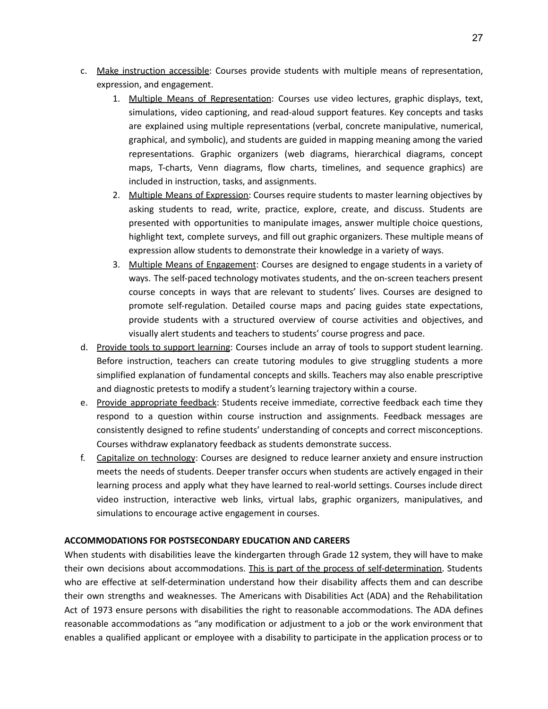- c. Make instruction accessible: Courses provide students with multiple means of representation, expression, and engagement.
	- 1. Multiple Means of Representation: Courses use video lectures, graphic displays, text, simulations, video captioning, and read-aloud support features. Key concepts and tasks are explained using multiple representations (verbal, concrete manipulative, numerical, graphical, and symbolic), and students are guided in mapping meaning among the varied representations. Graphic organizers (web diagrams, hierarchical diagrams, concept maps, T-charts, Venn diagrams, flow charts, timelines, and sequence graphics) are included in instruction, tasks, and assignments.
	- 2. Multiple Means of Expression: Courses require students to master learning objectives by asking students to read, write, practice, explore, create, and discuss. Students are presented with opportunities to manipulate images, answer multiple choice questions, highlight text, complete surveys, and fill out graphic organizers. These multiple means of expression allow students to demonstrate their knowledge in a variety of ways.
	- 3. Multiple Means of Engagement: Courses are designed to engage students in a variety of ways. The self-paced technology motivates students, and the on-screen teachers present course concepts in ways that are relevant to students' lives. Courses are designed to promote self-regulation. Detailed course maps and pacing guides state expectations, provide students with a structured overview of course activities and objectives, and visually alert students and teachers to students' course progress and pace.
- d. Provide tools to support learning: Courses include an array of tools to support student learning. Before instruction, teachers can create tutoring modules to give struggling students a more simplified explanation of fundamental concepts and skills. Teachers may also enable prescriptive and diagnostic pretests to modify a student's learning trajectory within a course.
- e. Provide appropriate feedback: Students receive immediate, corrective feedback each time they respond to a question within course instruction and assignments. Feedback messages are consistently designed to refine students' understanding of concepts and correct misconceptions. Courses withdraw explanatory feedback as students demonstrate success.
- f. Capitalize on technology: Courses are designed to reduce learner anxiety and ensure instruction meets the needs of students. Deeper transfer occurs when students are actively engaged in their learning process and apply what they have learned to real-world settings. Courses include direct video instruction, interactive web links, virtual labs, graphic organizers, manipulatives, and simulations to encourage active engagement in courses.

## **ACCOMMODATIONS FOR POSTSECONDARY EDUCATION AND CAREERS**

When students with disabilities leave the kindergarten through Grade 12 system, they will have to make their own decisions about accommodations. This is part of the process of self-determination. Students who are effective at self-determination understand how their disability affects them and can describe their own strengths and weaknesses. The Americans with Disabilities Act (ADA) and the Rehabilitation Act of 1973 ensure persons with disabilities the right to reasonable accommodations. The ADA defines reasonable accommodations as "any modification or adjustment to a job or the work environment that enables a qualified applicant or employee with a disability to participate in the application process or to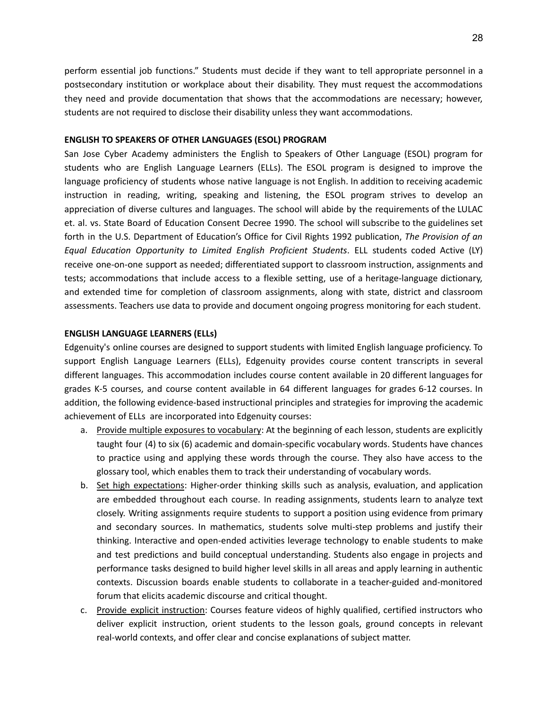perform essential job functions." Students must decide if they want to tell appropriate personnel in a postsecondary institution or workplace about their disability. They must request the accommodations they need and provide documentation that shows that the accommodations are necessary; however, students are not required to disclose their disability unless they want accommodations.

## **ENGLISH TO SPEAKERS OF OTHER LANGUAGES (ESOL) PROGRAM**

San Jose Cyber Academy administers the English to Speakers of Other Language (ESOL) program for students who are English Language Learners (ELLs). The ESOL program is designed to improve the language proficiency of students whose native language is not English. In addition to receiving academic instruction in reading, writing, speaking and listening, the ESOL program strives to develop an appreciation of diverse cultures and languages. The school will abide by the requirements of the LULAC et. al. vs. State Board of Education Consent Decree 1990. The school will subscribe to the guidelines set forth in the U.S. Department of Education's Office for Civil Rights 1992 publication, *The Provision of an Equal Education Opportunity to Limited English Proficient Students*. ELL students coded Active (LY) receive one-on-one support as needed; differentiated support to classroom instruction, assignments and tests; accommodations that include access to a flexible setting, use of a heritage-language dictionary, and extended time for completion of classroom assignments, along with state, district and classroom assessments. Teachers use data to provide and document ongoing progress monitoring for each student.

## **ENGLISH LANGUAGE LEARNERS (ELLs)**

Edgenuity's online courses are designed to support students with limited English language proficiency. To support English Language Learners (ELLs), Edgenuity provides course content transcripts in several different languages. This accommodation includes course content available in 20 different languages for grades K-5 courses, and course content available in 64 different languages for grades 6-12 courses. In addition, the following evidence-based instructional principles and strategies for improving the academic achievement of ELLs are incorporated into Edgenuity courses:

- a. Provide multiple exposures to vocabulary: At the beginning of each lesson, students are explicitly taught four (4) to six (6) academic and domain-specific vocabulary words. Students have chances to practice using and applying these words through the course. They also have access to the glossary tool, which enables them to track their understanding of vocabulary words.
- b. Set high expectations: Higher-order thinking skills such as analysis, evaluation, and application are embedded throughout each course. In reading assignments, students learn to analyze text closely. Writing assignments require students to support a position using evidence from primary and secondary sources. In mathematics, students solve multi-step problems and justify their thinking. Interactive and open-ended activities leverage technology to enable students to make and test predictions and build conceptual understanding. Students also engage in projects and performance tasks designed to build higher level skills in all areas and apply learning in authentic contexts. Discussion boards enable students to collaborate in a teacher-guided and-monitored forum that elicits academic discourse and critical thought.
- c. Provide explicit instruction: Courses feature videos of highly qualified, certified instructors who deliver explicit instruction, orient students to the lesson goals, ground concepts in relevant real-world contexts, and offer clear and concise explanations of subject matter.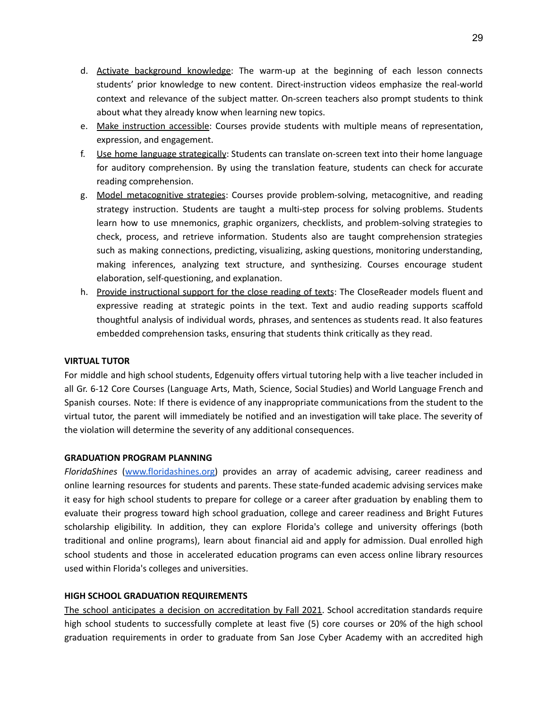- d. Activate background knowledge: The warm-up at the beginning of each lesson connects students' prior knowledge to new content. Direct-instruction videos emphasize the real-world context and relevance of the subject matter. On-screen teachers also prompt students to think about what they already know when learning new topics.
- e. Make instruction accessible: Courses provide students with multiple means of representation, expression, and engagement.
- f. Use home language strategically: Students can translate on-screen text into their home language for auditory comprehension. By using the translation feature, students can check for accurate reading comprehension.
- g. Model metacognitive strategies: Courses provide problem-solving, metacognitive, and reading strategy instruction. Students are taught a multi-step process for solving problems. Students learn how to use mnemonics, graphic organizers, checklists, and problem-solving strategies to check, process, and retrieve information. Students also are taught comprehension strategies such as making connections, predicting, visualizing, asking questions, monitoring understanding, making inferences, analyzing text structure, and synthesizing. Courses encourage student elaboration, self-questioning, and explanation.
- h. Provide instructional support for the close reading of texts: The CloseReader models fluent and expressive reading at strategic points in the text. Text and audio reading supports scaffold thoughtful analysis of individual words, phrases, and sentences as students read. It also features embedded comprehension tasks, ensuring that students think critically as they read.

## **VIRTUAL TUTOR**

For middle and high school students, Edgenuity offers virtual tutoring help with a live teacher included in all Gr. 6-12 Core Courses (Language Arts, Math, Science, Social Studies) and World Language French and Spanish courses. Note: If there is evidence of any inappropriate communications from the student to the virtual tutor, the parent will immediately be notified and an investigation will take place. The severity of the violation will determine the severity of any additional consequences.

## **GRADUATION PROGRAM PLANNING**

*FloridaShines* ([www.floridashines.org](http://www.floridashines.org)) provides an array of academic advising, career readiness and online learning resources for students and parents. These state-funded academic advising services make it easy for high school students to prepare for college or a career after graduation by enabling them to evaluate their progress toward high school graduation, college and career readiness and Bright Futures scholarship eligibility. In addition, they can explore Florida's college and university offerings (both traditional and online programs), learn about financial aid and apply for admission. Dual enrolled high school students and those in accelerated education programs can even access online library resources used within Florida's colleges and universities.

## **HIGH SCHOOL GRADUATION REQUIREMENTS**

The school anticipates a decision on accreditation by Fall 2021. School accreditation standards require high school students to successfully complete at least five (5) core courses or 20% of the high school graduation requirements in order to graduate from San Jose Cyber Academy with an accredited high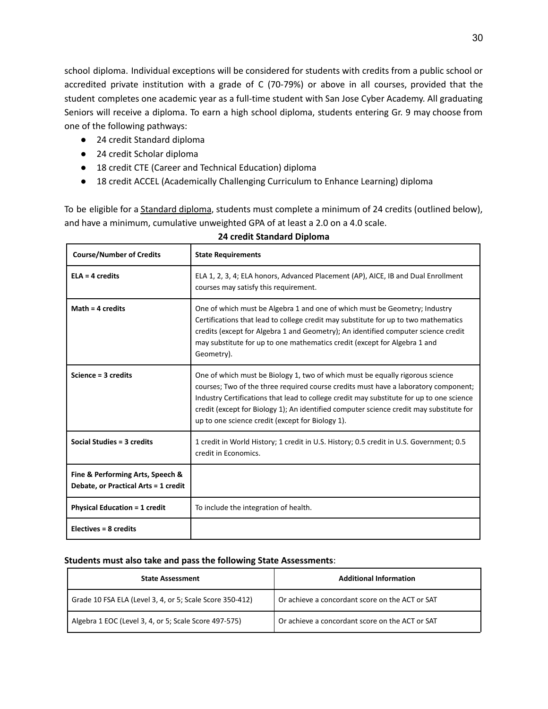school diploma. Individual exceptions will be considered for students with credits from a public school or accredited private institution with a grade of C (70-79%) or above in all courses, provided that the student completes one academic year as a full-time student with San Jose Cyber Academy. All graduating Seniors will receive a diploma. To earn a high school diploma, students entering Gr. 9 may choose from one of the following pathways:

- 24 credit Standard diploma
- 24 credit Scholar diploma

Г

● 18 credit CTE (Career and Technical Education) diploma

 $\mathbf{I}$ 

● 18 credit ACCEL (Academically Challenging Curriculum to Enhance Learning) diploma

To be eligible for a **Standard diploma**, students must complete a minimum of 24 credits (outlined below), and have a minimum, cumulative unweighted GPA of at least a 2.0 on a 4.0 scale.

| <b>Course/Number of Credits</b>                                          | <b>State Requirements</b>                                                                                                                                                                                                                                                                                                                                                                                       |
|--------------------------------------------------------------------------|-----------------------------------------------------------------------------------------------------------------------------------------------------------------------------------------------------------------------------------------------------------------------------------------------------------------------------------------------------------------------------------------------------------------|
| $ELA = 4$ credits                                                        | ELA 1, 2, 3, 4; ELA honors, Advanced Placement (AP), AICE, IB and Dual Enrollment<br>courses may satisfy this requirement.                                                                                                                                                                                                                                                                                      |
| Math = $4$ credits                                                       | One of which must be Algebra 1 and one of which must be Geometry; Industry<br>Certifications that lead to college credit may substitute for up to two mathematics<br>credits (except for Algebra 1 and Geometry); An identified computer science credit<br>may substitute for up to one mathematics credit (except for Algebra 1 and<br>Geometry).                                                              |
| Science = 3 credits                                                      | One of which must be Biology 1, two of which must be equally rigorous science<br>courses; Two of the three required course credits must have a laboratory component;<br>Industry Certifications that lead to college credit may substitute for up to one science<br>credit (except for Biology 1); An identified computer science credit may substitute for<br>up to one science credit (except for Biology 1). |
| Social Studies = 3 credits                                               | 1 credit in World History; 1 credit in U.S. History; 0.5 credit in U.S. Government; 0.5<br>credit in Economics.                                                                                                                                                                                                                                                                                                 |
| Fine & Performing Arts, Speech &<br>Debate, or Practical Arts = 1 credit |                                                                                                                                                                                                                                                                                                                                                                                                                 |
| <b>Physical Education = 1 credit</b>                                     | To include the integration of health.                                                                                                                                                                                                                                                                                                                                                                           |
| Electives = 8 credits                                                    |                                                                                                                                                                                                                                                                                                                                                                                                                 |

## **24 credit Standard Diploma**

## **Students must also take and pass the following State Assessments**:

| <b>State Assessment</b>                                  | <b>Additional Information</b>                   |
|----------------------------------------------------------|-------------------------------------------------|
| Grade 10 FSA ELA (Level 3, 4, or 5; Scale Score 350-412) | Or achieve a concordant score on the ACT or SAT |
| Algebra 1 EOC (Level 3, 4, or 5; Scale Score 497-575)    | Or achieve a concordant score on the ACT or SAT |

l.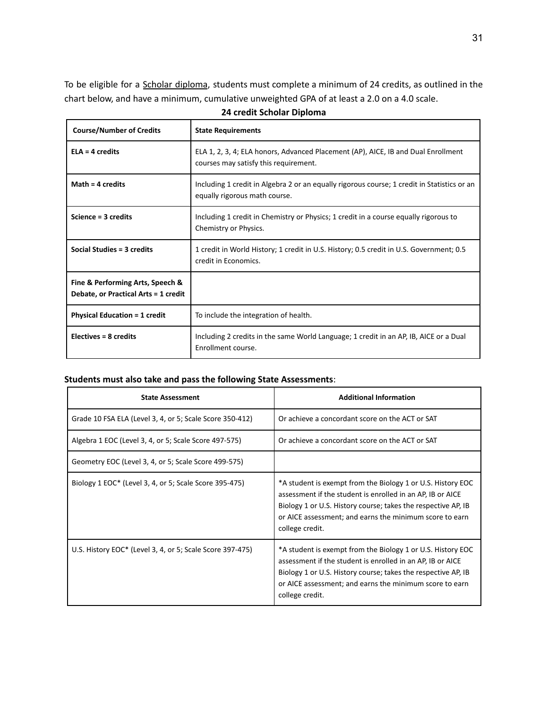To be eligible for a Scholar diploma, students must complete a minimum of 24 credits, as outlined in the chart below, and have a minimum, cumulative unweighted GPA of at least a 2.0 on a 4.0 scale.

| <b>Course/Number of Credits</b>                                          | <b>State Requirements</b>                                                                                                    |
|--------------------------------------------------------------------------|------------------------------------------------------------------------------------------------------------------------------|
| $ELA = 4$ credits                                                        | ELA 1, 2, 3, 4; ELA honors, Advanced Placement (AP), AICE, IB and Dual Enrollment<br>courses may satisfy this requirement.   |
| Math = $4$ credits                                                       | Including 1 credit in Algebra 2 or an equally rigorous course; 1 credit in Statistics or an<br>equally rigorous math course. |
| Science = 3 credits                                                      | Including 1 credit in Chemistry or Physics; 1 credit in a course equally rigorous to<br>Chemistry or Physics.                |
| Social Studies = 3 credits                                               | 1 credit in World History; 1 credit in U.S. History; 0.5 credit in U.S. Government; 0.5<br>credit in Economics.              |
| Fine & Performing Arts, Speech &<br>Debate, or Practical Arts = 1 credit |                                                                                                                              |
| <b>Physical Education = 1 credit</b>                                     | To include the integration of health.                                                                                        |
| Electives = $8$ credits                                                  | Including 2 credits in the same World Language; 1 credit in an AP, IB, AICE or a Dual<br>Enrollment course.                  |

**24 credit Scholar Diploma**

## **Students must also take and pass the following State Assessments**:

| <b>State Assessment</b>                                   | <b>Additional Information</b>                                                                                                                                                                                                                                            |
|-----------------------------------------------------------|--------------------------------------------------------------------------------------------------------------------------------------------------------------------------------------------------------------------------------------------------------------------------|
| Grade 10 FSA ELA (Level 3, 4, or 5; Scale Score 350-412)  | Or achieve a concordant score on the ACT or SAT                                                                                                                                                                                                                          |
| Algebra 1 EOC (Level 3, 4, or 5; Scale Score 497-575)     | Or achieve a concordant score on the ACT or SAT                                                                                                                                                                                                                          |
| Geometry EOC (Level 3, 4, or 5; Scale Score 499-575)      |                                                                                                                                                                                                                                                                          |
| Biology 1 EOC* (Level 3, 4, or 5; Scale Score 395-475)    | *A student is exempt from the Biology 1 or U.S. History EOC<br>assessment if the student is enrolled in an AP, IB or AICE<br>Biology 1 or U.S. History course; takes the respective AP, IB<br>or AICE assessment; and earns the minimum score to earn<br>college credit. |
| U.S. History EOC* (Level 3, 4, or 5; Scale Score 397-475) | *A student is exempt from the Biology 1 or U.S. History EOC<br>assessment if the student is enrolled in an AP, IB or AICE<br>Biology 1 or U.S. History course; takes the respective AP, IB<br>or AICE assessment; and earns the minimum score to earn<br>college credit. |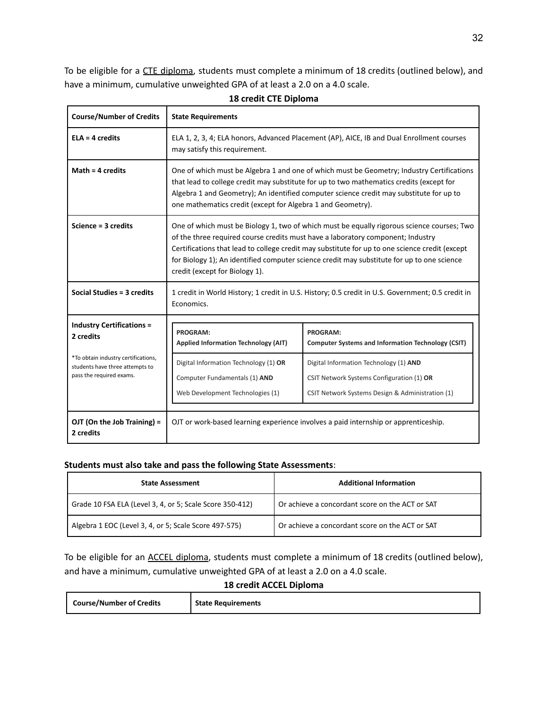To be eligible for a CTE diploma, students must complete a minimum of 18 credits (outlined below), and have a minimum, cumulative unweighted GPA of at least a 2.0 on a 4.0 scale.

| <b>Course/Number of Credits</b>                                                                    | <b>State Requirements</b>                                                                                                                                                                                                                                                                                                                                                                                       |                                                                                                                                         |  |
|----------------------------------------------------------------------------------------------------|-----------------------------------------------------------------------------------------------------------------------------------------------------------------------------------------------------------------------------------------------------------------------------------------------------------------------------------------------------------------------------------------------------------------|-----------------------------------------------------------------------------------------------------------------------------------------|--|
| $ELA = 4$ credits                                                                                  | ELA 1, 2, 3, 4; ELA honors, Advanced Placement (AP), AICE, IB and Dual Enrollment courses<br>may satisfy this requirement.                                                                                                                                                                                                                                                                                      |                                                                                                                                         |  |
| Math = $4$ credits                                                                                 | One of which must be Algebra 1 and one of which must be Geometry; Industry Certifications<br>that lead to college credit may substitute for up to two mathematics credits (except for<br>Algebra 1 and Geometry); An identified computer science credit may substitute for up to<br>one mathematics credit (except for Algebra 1 and Geometry).                                                                 |                                                                                                                                         |  |
| Science = 3 credits                                                                                | One of which must be Biology 1, two of which must be equally rigorous science courses; Two<br>of the three required course credits must have a laboratory component; Industry<br>Certifications that lead to college credit may substitute for up to one science credit (except<br>for Biology 1); An identified computer science credit may substitute for up to one science<br>credit (except for Biology 1). |                                                                                                                                         |  |
| Social Studies = 3 credits                                                                         | 1 credit in World History; 1 credit in U.S. History; 0.5 credit in U.S. Government; 0.5 credit in<br>Economics.                                                                                                                                                                                                                                                                                                 |                                                                                                                                         |  |
| <b>Industry Certifications =</b><br>2 credits                                                      | <b>PROGRAM:</b><br><b>Applied Information Technology (AIT)</b>                                                                                                                                                                                                                                                                                                                                                  | PROGRAM:<br><b>Computer Systems and Information Technology (CSIT)</b>                                                                   |  |
| *To obtain industry certifications,<br>students have three attempts to<br>pass the required exams. | Digital Information Technology (1) OR<br>Computer Fundamentals (1) AND<br>Web Development Technologies (1)                                                                                                                                                                                                                                                                                                      | Digital Information Technology (1) AND<br>CSIT Network Systems Configuration (1) OR<br>CSIT Network Systems Design & Administration (1) |  |
| OJT (On the Job Training) =<br>2 credits                                                           | OJT or work-based learning experience involves a paid internship or apprenticeship.                                                                                                                                                                                                                                                                                                                             |                                                                                                                                         |  |

## **18 credit CTE Diploma**

## **Students must also take and pass the following State Assessments**:

| <b>State Assessment</b>                                  | <b>Additional Information</b>                   |
|----------------------------------------------------------|-------------------------------------------------|
| Grade 10 FSA ELA (Level 3, 4, or 5; Scale Score 350-412) | Or achieve a concordant score on the ACT or SAT |
| Algebra 1 EOC (Level 3, 4, or 5; Scale Score 497-575)    | Or achieve a concordant score on the ACT or SAT |

To be eligible for an ACCEL diploma, students must complete a minimum of 18 credits (outlined below), and have a minimum, cumulative unweighted GPA of at least a 2.0 on a 4.0 scale.

## **18 credit ACCEL Diploma**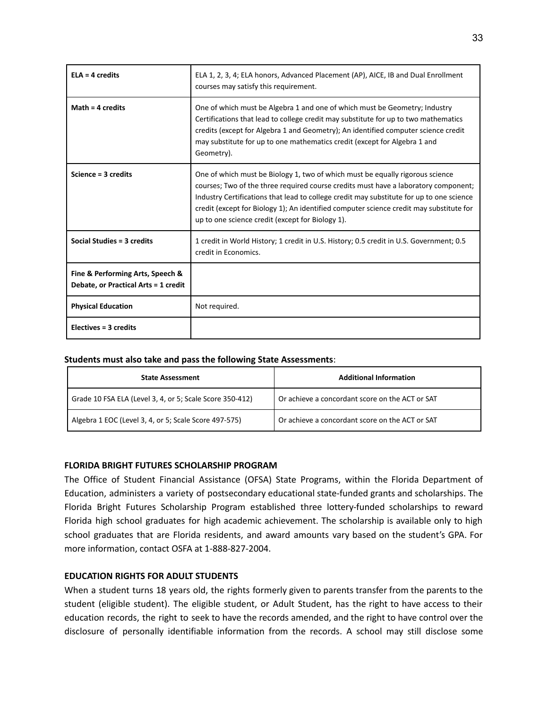| $ELA = 4$ credits                                                        | ELA 1, 2, 3, 4; ELA honors, Advanced Placement (AP), AICE, IB and Dual Enrollment<br>courses may satisfy this requirement.                                                                                                                                                                                                                                                                                      |
|--------------------------------------------------------------------------|-----------------------------------------------------------------------------------------------------------------------------------------------------------------------------------------------------------------------------------------------------------------------------------------------------------------------------------------------------------------------------------------------------------------|
| Math = $4$ credits                                                       | One of which must be Algebra 1 and one of which must be Geometry; Industry<br>Certifications that lead to college credit may substitute for up to two mathematics<br>credits (except for Algebra 1 and Geometry); An identified computer science credit<br>may substitute for up to one mathematics credit (except for Algebra 1 and<br>Geometry).                                                              |
| Science = 3 credits                                                      | One of which must be Biology 1, two of which must be equally rigorous science<br>courses; Two of the three required course credits must have a laboratory component;<br>Industry Certifications that lead to college credit may substitute for up to one science<br>credit (except for Biology 1); An identified computer science credit may substitute for<br>up to one science credit (except for Biology 1). |
| Social Studies = 3 credits                                               | 1 credit in World History; 1 credit in U.S. History; 0.5 credit in U.S. Government; 0.5<br>credit in Economics.                                                                                                                                                                                                                                                                                                 |
| Fine & Performing Arts, Speech &<br>Debate, or Practical Arts = 1 credit |                                                                                                                                                                                                                                                                                                                                                                                                                 |
| <b>Physical Education</b>                                                | Not required.                                                                                                                                                                                                                                                                                                                                                                                                   |
| Electives $=$ 3 credits                                                  |                                                                                                                                                                                                                                                                                                                                                                                                                 |

#### **Students must also take and pass the following State Assessments**:

| <b>State Assessment</b>                                  | <b>Additional Information</b>                   |
|----------------------------------------------------------|-------------------------------------------------|
| Grade 10 FSA ELA (Level 3, 4, or 5; Scale Score 350-412) | Or achieve a concordant score on the ACT or SAT |
| Algebra 1 EOC (Level 3, 4, or 5; Scale Score 497-575)    | Or achieve a concordant score on the ACT or SAT |

## **FLORIDA BRIGHT FUTURES SCHOLARSHIP PROGRAM**

The Office of Student Financial Assistance (OFSA) State Programs, within the Florida Department of Education, administers a variety of postsecondary educational state-funded grants and scholarships. The Florida Bright Futures Scholarship Program established three lottery-funded scholarships to reward Florida high school graduates for high academic achievement. The scholarship is available only to high school graduates that are Florida residents, and award amounts vary based on the student's GPA. For more information, contact OSFA at 1-888-827-2004.

## **EDUCATION RIGHTS FOR ADULT STUDENTS**

When a student turns 18 years old, the rights formerly given to parents transfer from the parents to the student (eligible student). The eligible student, or Adult Student, has the right to have access to their education records, the right to seek to have the records amended, and the right to have control over the disclosure of personally identifiable information from the records. A school may still disclose some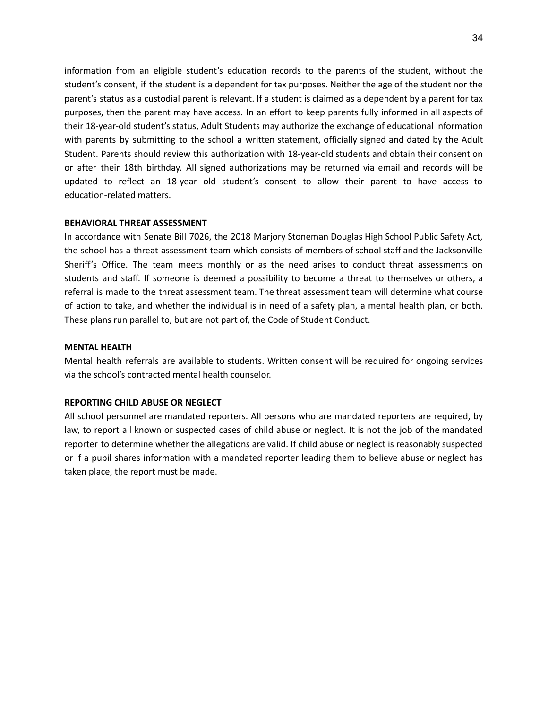information from an eligible student's education records to the parents of the student, without the student's consent, if the student is a dependent for tax purposes. Neither the age of the student nor the parent's status as a custodial parent is relevant. If a student is claimed as a dependent by a parent for tax purposes, then the parent may have access. In an effort to keep parents fully informed in all aspects of their 18-year-old student's status, Adult Students may authorize the exchange of educational information with parents by submitting to the school a written statement, officially signed and dated by the Adult Student. Parents should review this authorization with 18-year-old students and obtain their consent on or after their 18th birthday. All signed authorizations may be returned via email and records will be updated to reflect an 18-year old student's consent to allow their parent to have access to education-related matters.

#### **BEHAVIORAL THREAT ASSESSMENT**

In accordance with Senate Bill 7026, the 2018 Marjory Stoneman Douglas High School Public Safety Act, the school has a threat assessment team which consists of members of school staff and the Jacksonville Sheriff's Office. The team meets monthly or as the need arises to conduct threat assessments on students and staff. If someone is deemed a possibility to become a threat to themselves or others, a referral is made to the threat assessment team. The threat assessment team will determine what course of action to take, and whether the individual is in need of a safety plan, a mental health plan, or both. These plans run parallel to, but are not part of, the Code of Student Conduct.

#### **MENTAL HEALTH**

Mental health referrals are available to students. Written consent will be required for ongoing services via the school's contracted mental health counselor.

## **REPORTING CHILD ABUSE OR NEGLECT**

All school personnel are mandated reporters. All persons who are mandated reporters are required, by law, to report all known or suspected cases of child abuse or neglect. It is not the job of the mandated reporter to determine whether the allegations are valid. If child abuse or neglect is reasonably suspected or if a pupil shares information with a mandated reporter leading them to believe abuse or neglect has taken place, the report must be made.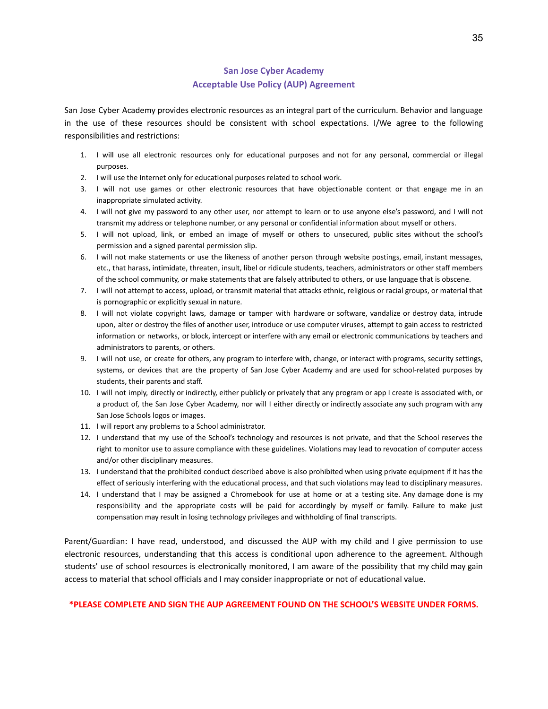# **San Jose Cyber Academy Acceptable Use Policy (AUP) Agreement**

San Jose Cyber Academy provides electronic resources as an integral part of the curriculum. Behavior and language in the use of these resources should be consistent with school expectations. I/We agree to the following responsibilities and restrictions:

- 1. I will use all electronic resources only for educational purposes and not for any personal, commercial or illegal purposes.
- 2. I will use the Internet only for educational purposes related to school work.
- 3. I will not use games or other electronic resources that have objectionable content or that engage me in an inappropriate simulated activity.
- 4. I will not give my password to any other user, nor attempt to learn or to use anyone else's password, and I will not transmit my address or telephone number, or any personal or confidential information about myself or others.
- 5. I will not upload, link, or embed an image of myself or others to unsecured, public sites without the school's permission and a signed parental permission slip.
- 6. I will not make statements or use the likeness of another person through website postings, email, instant messages, etc., that harass, intimidate, threaten, insult, libel or ridicule students, teachers, administrators or other staff members of the school community, or make statements that are falsely attributed to others, or use language that is obscene.
- 7. I will not attempt to access, upload, or transmit material that attacks ethnic, religious or racial groups, or material that is pornographic or explicitly sexual in nature.
- 8. I will not violate copyright laws, damage or tamper with hardware or software, vandalize or destroy data, intrude upon, alter or destroy the files of another user, introduce or use computer viruses, attempt to gain access to restricted information or networks, or block, intercept or interfere with any email or electronic communications by teachers and administrators to parents, or others.
- 9. I will not use, or create for others, any program to interfere with, change, or interact with programs, security settings, systems, or devices that are the property of San Jose Cyber Academy and are used for school-related purposes by students, their parents and staff.
- 10. I will not imply, directly or indirectly, either publicly or privately that any program or app I create is associated with, or a product of, the San Jose Cyber Academy, nor will I either directly or indirectly associate any such program with any San Jose Schools logos or images.
- 11. I will report any problems to a School administrator.
- 12. I understand that my use of the School's technology and resources is not private, and that the School reserves the right to monitor use to assure compliance with these guidelines. Violations may lead to revocation of computer access and/or other disciplinary measures.
- 13. I understand that the prohibited conduct described above is also prohibited when using private equipment if it has the effect of seriously interfering with the educational process, and that such violations may lead to disciplinary measures.
- 14. I understand that I may be assigned a Chromebook for use at home or at a testing site. Any damage done is my responsibility and the appropriate costs will be paid for accordingly by myself or family. Failure to make just compensation may result in losing technology privileges and withholding of final transcripts.

Parent/Guardian: I have read, understood, and discussed the AUP with my child and I give permission to use electronic resources, understanding that this access is conditional upon adherence to the agreement. Although students' use of school resources is electronically monitored, I am aware of the possibility that my child may gain access to material that school officials and I may consider inappropriate or not of educational value.

## **\*PLEASE COMPLETE AND SIGN THE AUP AGREEMENT FOUND ON THE SCHOOL'S WEBSITE UNDER FORMS.**